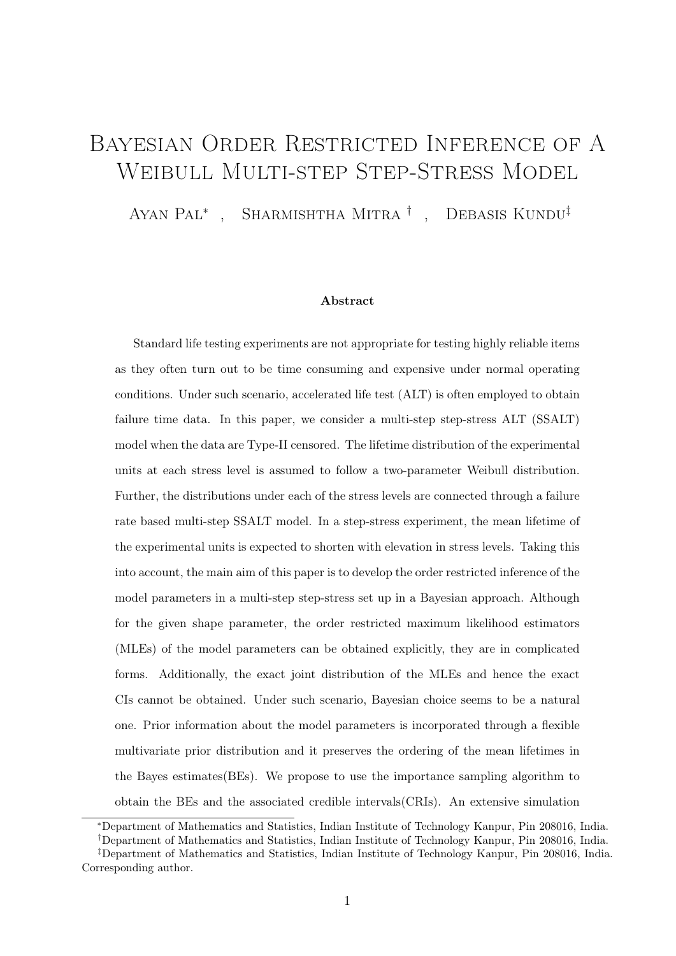# Bayesian Order Restricted Inference of A Weibull Multi-step Step-Stress Model

Ayan Pal<sup>∗</sup> , Sharmishtha Mitra † , Debasis Kundu‡

#### Abstract

Standard life testing experiments are not appropriate for testing highly reliable items as they often turn out to be time consuming and expensive under normal operating conditions. Under such scenario, accelerated life test (ALT) is often employed to obtain failure time data. In this paper, we consider a multi-step step-stress ALT (SSALT) model when the data are Type-II censored. The lifetime distribution of the experimental units at each stress level is assumed to follow a two-parameter Weibull distribution. Further, the distributions under each of the stress levels are connected through a failure rate based multi-step SSALT model. In a step-stress experiment, the mean lifetime of the experimental units is expected to shorten with elevation in stress levels. Taking this into account, the main aim of this paper is to develop the order restricted inference of the model parameters in a multi-step step-stress set up in a Bayesian approach. Although for the given shape parameter, the order restricted maximum likelihood estimators (MLEs) of the model parameters can be obtained explicitly, they are in complicated forms. Additionally, the exact joint distribution of the MLEs and hence the exact CIs cannot be obtained. Under such scenario, Bayesian choice seems to be a natural one. Prior information about the model parameters is incorporated through a flexible multivariate prior distribution and it preserves the ordering of the mean lifetimes in the Bayes estimates(BEs). We propose to use the importance sampling algorithm to obtain the BEs and the associated credible intervals(CRIs). An extensive simulation

<sup>∗</sup>Department of Mathematics and Statistics, Indian Institute of Technology Kanpur, Pin 208016, India.

<sup>†</sup>Department of Mathematics and Statistics, Indian Institute of Technology Kanpur, Pin 208016, India.

<sup>‡</sup>Department of Mathematics and Statistics, Indian Institute of Technology Kanpur, Pin 208016, India. Corresponding author.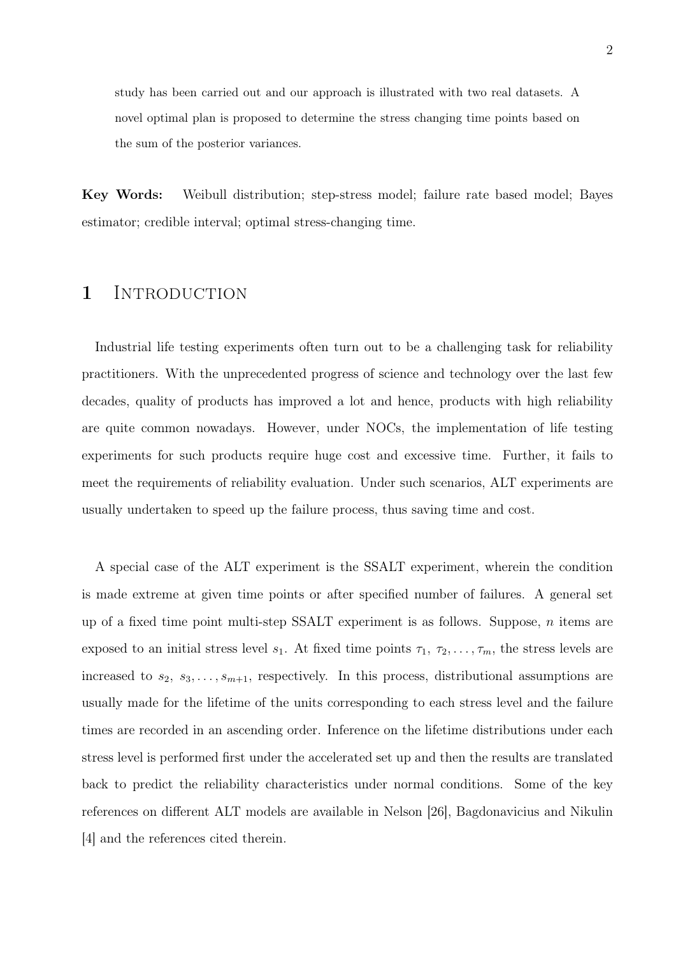study has been carried out and our approach is illustrated with two real datasets. A novel optimal plan is proposed to determine the stress changing time points based on the sum of the posterior variances.

Key Words: Weibull distribution; step-stress model; failure rate based model; Bayes estimator; credible interval; optimal stress-changing time.

# 1 INTRODUCTION

Industrial life testing experiments often turn out to be a challenging task for reliability practitioners. With the unprecedented progress of science and technology over the last few decades, quality of products has improved a lot and hence, products with high reliability are quite common nowadays. However, under NOCs, the implementation of life testing experiments for such products require huge cost and excessive time. Further, it fails to meet the requirements of reliability evaluation. Under such scenarios, ALT experiments are usually undertaken to speed up the failure process, thus saving time and cost.

A special case of the ALT experiment is the SSALT experiment, wherein the condition is made extreme at given time points or after specified number of failures. A general set up of a fixed time point multi-step SSALT experiment is as follows. Suppose, n items are exposed to an initial stress level  $s_1$ . At fixed time points  $\tau_1, \tau_2, \ldots, \tau_m$ , the stress levels are increased to  $s_2, s_3, \ldots, s_{m+1}$ , respectively. In this process, distributional assumptions are usually made for the lifetime of the units corresponding to each stress level and the failure times are recorded in an ascending order. Inference on the lifetime distributions under each stress level is performed first under the accelerated set up and then the results are translated back to predict the reliability characteristics under normal conditions. Some of the key references on different ALT models are available in Nelson [26], Bagdonavicius and Nikulin [4] and the references cited therein.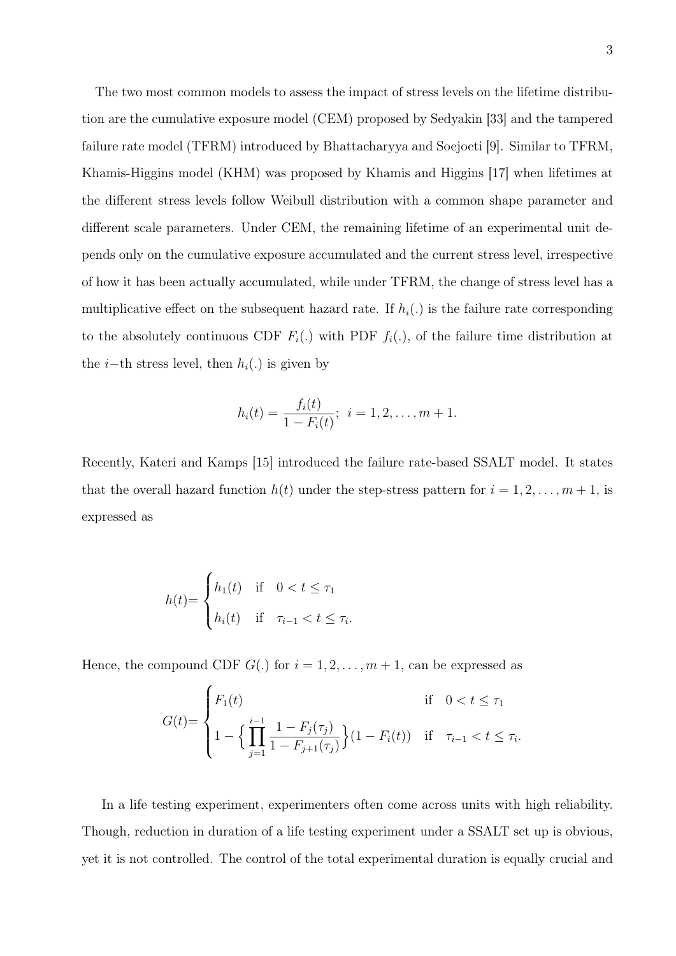The two most common models to assess the impact of stress levels on the lifetime distribution are the cumulative exposure model (CEM) proposed by Sedyakin [33] and the tampered failure rate model (TFRM) introduced by Bhattacharyya and Soejoeti [9]. Similar to TFRM, Khamis-Higgins model (KHM) was proposed by Khamis and Higgins [17] when lifetimes at the different stress levels follow Weibull distribution with a common shape parameter and different scale parameters. Under CEM, the remaining lifetime of an experimental unit depends only on the cumulative exposure accumulated and the current stress level, irrespective of how it has been actually accumulated, while under TFRM, the change of stress level has a multiplicative effect on the subsequent hazard rate. If  $h_i(.)$  is the failure rate corresponding to the absolutely continuous CDF  $F_i(.)$  with PDF  $f_i(.)$ , of the failure time distribution at the *i*−th stress level, then  $h_i(.)$  is given by

$$
h_i(t) = \frac{f_i(t)}{1 - F_i(t)}; \ \ i = 1, 2, \dots, m + 1.
$$

Recently, Kateri and Kamps [15] introduced the failure rate-based SSALT model. It states that the overall hazard function  $h(t)$  under the step-stress pattern for  $i = 1, 2, \ldots, m + 1$ , is expressed as

$$
h(t) = \begin{cases} h_1(t) & \text{if } 0 < t \le \tau_1 \\ h_i(t) & \text{if } \tau_{i-1} < t \le \tau_i. \end{cases}
$$

Hence, the compound CDF  $G(.)$  for  $i = 1, 2, ..., m + 1$ , can be expressed as

$$
G(t) = \begin{cases} F_1(t) & \text{if } 0 < t \le \tau_1 \\ 1 - \left\{ \prod_{j=1}^{i-1} \frac{1 - F_j(\tau_j)}{1 - F_{j+1}(\tau_j)} \right\} (1 - F_i(t)) & \text{if } \tau_{i-1} < t \le \tau_i \end{cases}
$$

.

In a life testing experiment, experimenters often come across units with high reliability. Though, reduction in duration of a life testing experiment under a SSALT set up is obvious, yet it is not controlled. The control of the total experimental duration is equally crucial and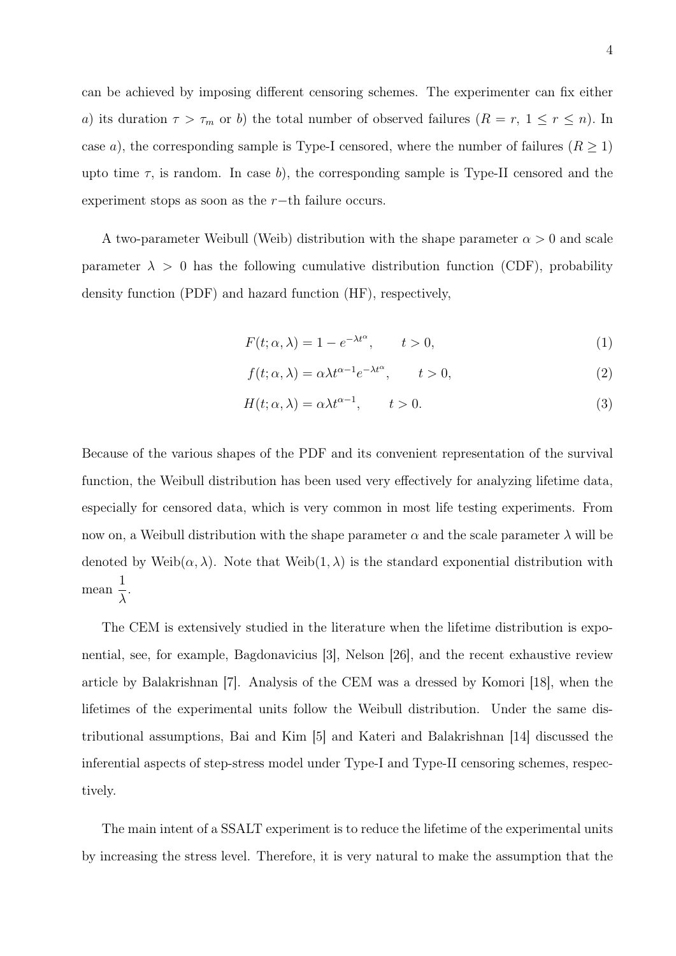can be achieved by imposing different censoring schemes. The experimenter can fix either a) its duration  $\tau > \tau_m$  or b) the total number of observed failures  $(R = r, 1 \le r \le n)$ . In case a), the corresponding sample is Type-I censored, where the number of failures  $(R \ge 1)$ upto time  $\tau$ , is random. In case b), the corresponding sample is Type-II censored and the experiment stops as soon as the  $r$ −th failure occurs.

A two-parameter Weibull (Weib) distribution with the shape parameter  $\alpha > 0$  and scale parameter  $\lambda > 0$  has the following cumulative distribution function (CDF), probability density function (PDF) and hazard function (HF), respectively,

$$
F(t; \alpha, \lambda) = 1 - e^{-\lambda t^{\alpha}}, \qquad t > 0,
$$
\n<sup>(1)</sup>

$$
f(t; \alpha, \lambda) = \alpha \lambda t^{\alpha - 1} e^{-\lambda t^{\alpha}}, \qquad t > 0,
$$
\n
$$
(2)
$$

$$
H(t; \alpha, \lambda) = \alpha \lambda t^{\alpha - 1}, \qquad t > 0.
$$
\n<sup>(3)</sup>

Because of the various shapes of the PDF and its convenient representation of the survival function, the Weibull distribution has been used very effectively for analyzing lifetime data, especially for censored data, which is very common in most life testing experiments. From now on, a Weibull distribution with the shape parameter  $\alpha$  and the scale parameter  $\lambda$  will be denoted by Weib $(\alpha, \lambda)$ . Note that Weib $(1, \lambda)$  is the standard exponential distribution with mean 1 λ .

The CEM is extensively studied in the literature when the lifetime distribution is exponential, see, for example, Bagdonavicius [3], Nelson [26], and the recent exhaustive review article by Balakrishnan [7]. Analysis of the CEM was a dressed by Komori [18], when the lifetimes of the experimental units follow the Weibull distribution. Under the same distributional assumptions, Bai and Kim [5] and Kateri and Balakrishnan [14] discussed the inferential aspects of step-stress model under Type-I and Type-II censoring schemes, respectively.

The main intent of a SSALT experiment is to reduce the lifetime of the experimental units by increasing the stress level. Therefore, it is very natural to make the assumption that the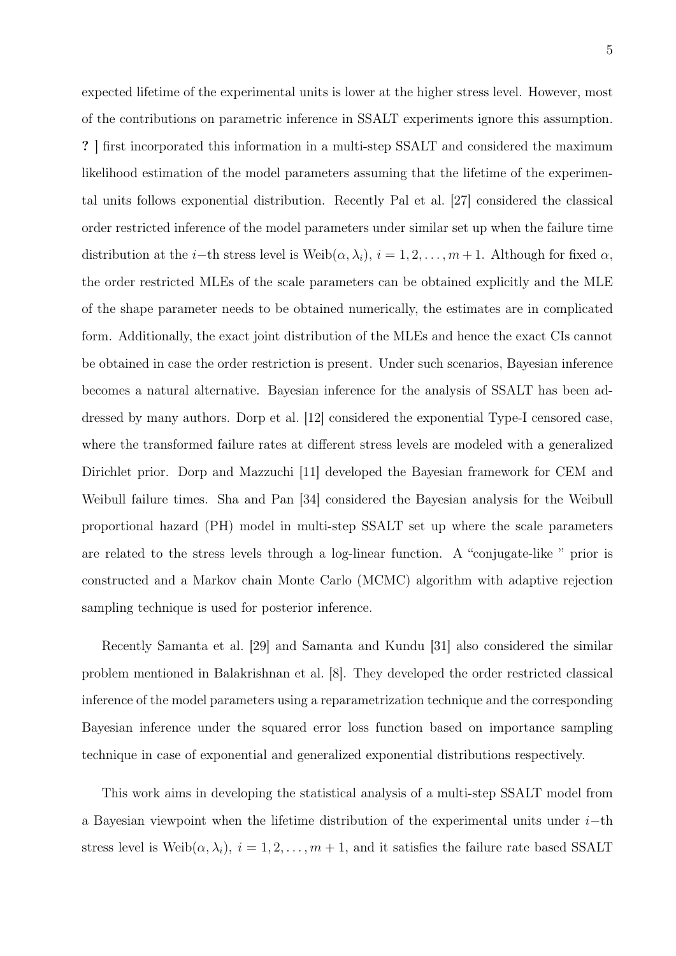expected lifetime of the experimental units is lower at the higher stress level. However, most of the contributions on parametric inference in SSALT experiments ignore this assumption. ? ] first incorporated this information in a multi-step SSALT and considered the maximum likelihood estimation of the model parameters assuming that the lifetime of the experimental units follows exponential distribution. Recently Pal et al. [27] considered the classical order restricted inference of the model parameters under similar set up when the failure time distribution at the *i*−th stress level is Weib $(\alpha, \lambda_i)$ ,  $i = 1, 2, \ldots, m + 1$ . Although for fixed  $\alpha$ , the order restricted MLEs of the scale parameters can be obtained explicitly and the MLE of the shape parameter needs to be obtained numerically, the estimates are in complicated form. Additionally, the exact joint distribution of the MLEs and hence the exact CIs cannot be obtained in case the order restriction is present. Under such scenarios, Bayesian inference becomes a natural alternative. Bayesian inference for the analysis of SSALT has been addressed by many authors. Dorp et al. [12] considered the exponential Type-I censored case, where the transformed failure rates at different stress levels are modeled with a generalized Dirichlet prior. Dorp and Mazzuchi [11] developed the Bayesian framework for CEM and Weibull failure times. Sha and Pan [34] considered the Bayesian analysis for the Weibull proportional hazard (PH) model in multi-step SSALT set up where the scale parameters are related to the stress levels through a log-linear function. A "conjugate-like " prior is constructed and a Markov chain Monte Carlo (MCMC) algorithm with adaptive rejection sampling technique is used for posterior inference.

Recently Samanta et al. [29] and Samanta and Kundu [31] also considered the similar problem mentioned in Balakrishnan et al. [8]. They developed the order restricted classical inference of the model parameters using a reparametrization technique and the corresponding Bayesian inference under the squared error loss function based on importance sampling technique in case of exponential and generalized exponential distributions respectively.

This work aims in developing the statistical analysis of a multi-step SSALT model from a Bayesian viewpoint when the lifetime distribution of the experimental units under i−th stress level is Weib $(\alpha, \lambda_i)$ ,  $i = 1, 2, ..., m + 1$ , and it satisfies the failure rate based SSALT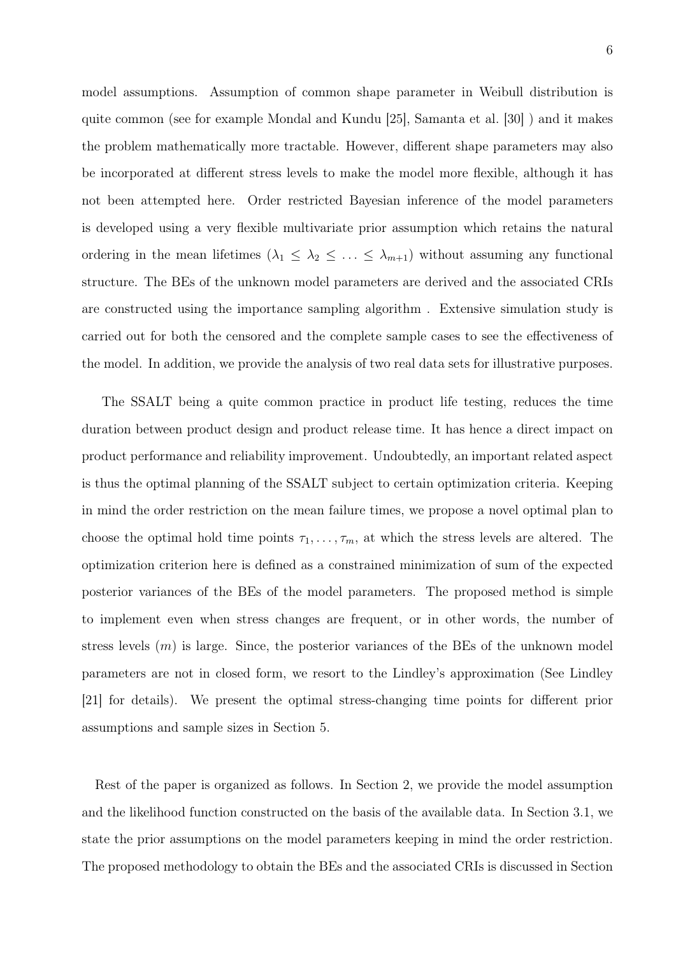6

model assumptions. Assumption of common shape parameter in Weibull distribution is quite common (see for example Mondal and Kundu [25], Samanta et al. [30] ) and it makes the problem mathematically more tractable. However, different shape parameters may also be incorporated at different stress levels to make the model more flexible, although it has not been attempted here. Order restricted Bayesian inference of the model parameters is developed using a very flexible multivariate prior assumption which retains the natural ordering in the mean lifetimes  $(\lambda_1 \leq \lambda_2 \leq \ldots \leq \lambda_{m+1})$  without assuming any functional structure. The BEs of the unknown model parameters are derived and the associated CRIs are constructed using the importance sampling algorithm . Extensive simulation study is carried out for both the censored and the complete sample cases to see the effectiveness of the model. In addition, we provide the analysis of two real data sets for illustrative purposes.

The SSALT being a quite common practice in product life testing, reduces the time duration between product design and product release time. It has hence a direct impact on product performance and reliability improvement. Undoubtedly, an important related aspect is thus the optimal planning of the SSALT subject to certain optimization criteria. Keeping in mind the order restriction on the mean failure times, we propose a novel optimal plan to choose the optimal hold time points  $\tau_1, \ldots, \tau_m$ , at which the stress levels are altered. The optimization criterion here is defined as a constrained minimization of sum of the expected posterior variances of the BEs of the model parameters. The proposed method is simple to implement even when stress changes are frequent, or in other words, the number of stress levels  $(m)$  is large. Since, the posterior variances of the BEs of the unknown model parameters are not in closed form, we resort to the Lindley's approximation (See Lindley [21] for details). We present the optimal stress-changing time points for different prior assumptions and sample sizes in Section 5.

Rest of the paper is organized as follows. In Section 2, we provide the model assumption and the likelihood function constructed on the basis of the available data. In Section 3.1, we state the prior assumptions on the model parameters keeping in mind the order restriction. The proposed methodology to obtain the BEs and the associated CRIs is discussed in Section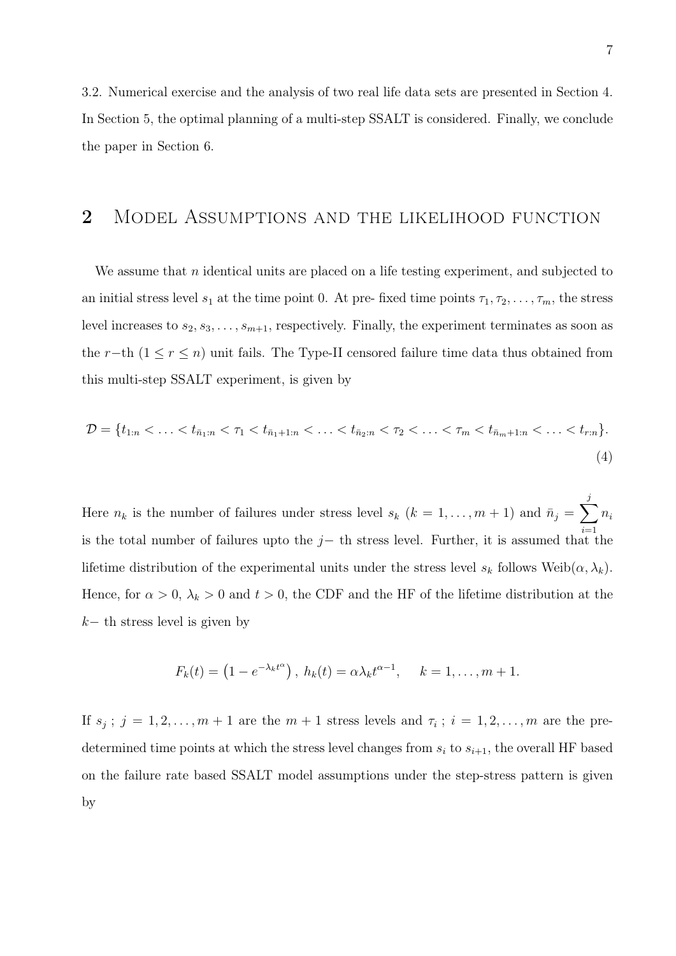3.2. Numerical exercise and the analysis of two real life data sets are presented in Section 4. In Section 5, the optimal planning of a multi-step SSALT is considered. Finally, we conclude the paper in Section 6.

# 2 Model Assumptions and the likelihood function

We assume that n identical units are placed on a life testing experiment, and subjected to an initial stress level  $s_1$  at the time point 0. At pre- fixed time points  $\tau_1, \tau_2, \ldots, \tau_m$ , the stress level increases to  $s_2, s_3, \ldots, s_{m+1}$ , respectively. Finally, the experiment terminates as soon as the r−th  $(1 \le r \le n)$  unit fails. The Type-II censored failure time data thus obtained from this multi-step SSALT experiment, is given by

$$
\mathcal{D} = \{t_{1:n} < \ldots < t_{\bar{n}_1:n} < \tau_1 < t_{\bar{n}_1+1:n} < \ldots < t_{\bar{n}_2:n} < \tau_2 < \ldots < \tau_m < t_{\bar{n}_m+1:n} < \ldots < t_{r:n}\}.
$$
\n
$$
\tag{4}
$$

Here  $n_k$  is the number of failures under stress level  $s_k$   $(k = 1, \ldots, m + 1)$  and  $\bar{n}_j = \sum$ j  $i=1$  $n_i$ is the total number of failures upto the  $j-$  th stress level. Further, it is assumed that the lifetime distribution of the experimental units under the stress level  $s_k$  follows Weib $(\alpha, \lambda_k)$ . Hence, for  $\alpha > 0$ ,  $\lambda_k > 0$  and  $t > 0$ , the CDF and the HF of the lifetime distribution at the  $k-$  th stress level is given by

$$
F_k(t) = \left(1 - e^{-\lambda_k t^{\alpha}}\right), h_k(t) = \alpha \lambda_k t^{\alpha - 1}, \quad k = 1, \ldots, m + 1.
$$

If  $s_j$ ;  $j = 1, 2, \ldots, m + 1$  are the  $m + 1$  stress levels and  $\tau_i$ ;  $i = 1, 2, \ldots, m$  are the predetermined time points at which the stress level changes from  $s_i$  to  $s_{i+1}$ , the overall HF based on the failure rate based SSALT model assumptions under the step-stress pattern is given by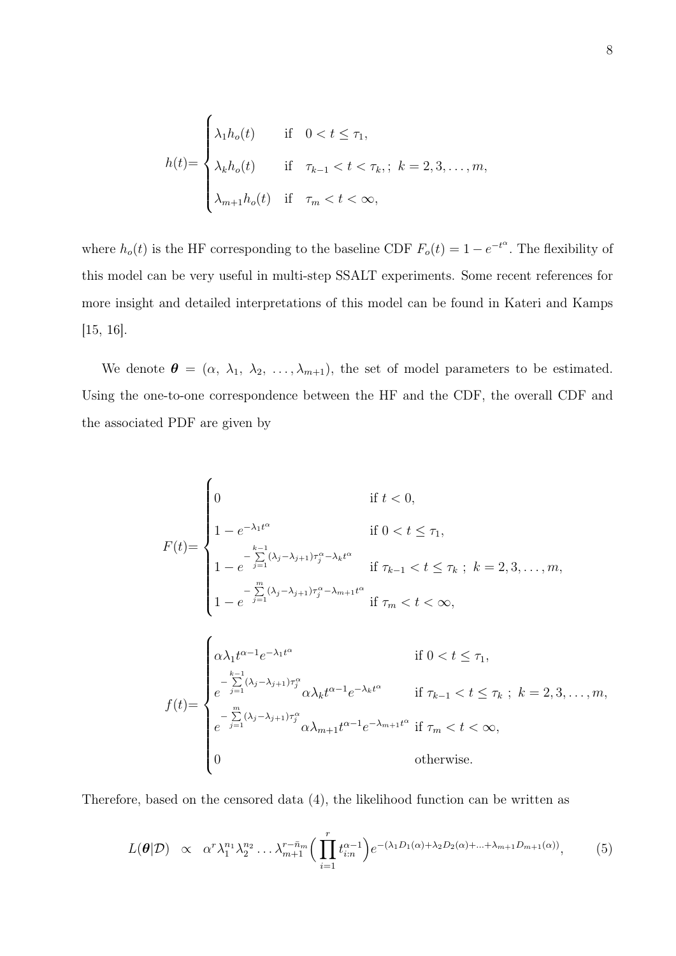$$
h(t) = \begin{cases} \lambda_1 h_o(t) & \text{if } 0 < t \le \tau_1, \\ \lambda_k h_o(t) & \text{if } \tau_{k-1} < t < \tau_k, \\ \lambda_{m+1} h_o(t) & \text{if } \tau_m < t < \infty, \end{cases}
$$

where  $h_o(t)$  is the HF corresponding to the baseline CDF  $F_o(t) = 1 - e^{-t^{\alpha}}$ . The flexibility of this model can be very useful in multi-step SSALT experiments. Some recent references for more insight and detailed interpretations of this model can be found in Kateri and Kamps [15, 16].

We denote  $\boldsymbol{\theta} = (\alpha, \lambda_1, \lambda_2, \ldots, \lambda_{m+1})$ , the set of model parameters to be estimated. Using the one-to-one correspondence between the HF and the CDF, the overall CDF and the associated PDF are given by

$$
F(t) = \begin{cases} 0 & \text{if } t < 0, \\ 1 - e^{-\lambda_1 t^\alpha} & \text{if } 0 < t \leq \tau_1, \\ 1 - e^{-\sum\limits_{j=1}^{k-1} (\lambda_j - \lambda_{j+1}) \tau_j^\alpha - \lambda_k t^\alpha} & \text{if } \tau_{k-1} < t \leq \tau_k \text{ ; } k = 2, 3, \dots, m, \\ 1 - e^{-\sum\limits_{j=1}^m (\lambda_j - \lambda_{j+1}) \tau_j^\alpha - \lambda_{m+1} t^\alpha} & \text{if } \tau_m < t < \infty, \end{cases}
$$
\n
$$
f(t) = \begin{cases} \alpha \lambda_1 t^{\alpha - 1} e^{-\lambda_1 t^\alpha} & \text{if } 0 < t \leq \tau_1, \\ e^{-\sum\limits_{j=1}^{k-1} (\lambda_j - \lambda_{j+1}) \tau_j^\alpha} \alpha \lambda_k t^{\alpha - 1} e^{-\lambda_k t^\alpha} & \text{if } \tau_{k-1} < t \leq \tau_k \text{ ; } k = 2, 3, \dots, m, \\ e^{-\sum\limits_{j=1}^m (\lambda_j - \lambda_{j+1}) \tau_j^\alpha} \alpha \lambda_{m+1} t^{\alpha - 1} e^{-\lambda_{m+1} t^\alpha} & \text{if } \tau_m < t < \infty, \\ 0 & \text{otherwise.} \end{cases}
$$

Therefore, based on the censored data (4), the likelihood function can be written as

$$
L(\boldsymbol{\theta}|\mathcal{D}) \propto \alpha^r \lambda_1^{n_1} \lambda_2^{n_2} \dots \lambda_{m+1}^{r - \bar{n}_m} \Big( \prod_{i=1}^r t_{i:n}^{\alpha - 1} \Big) e^{-(\lambda_1 D_1(\alpha) + \lambda_2 D_2(\alpha) + \dots + \lambda_{m+1} D_{m+1}(\alpha))}, \tag{5}
$$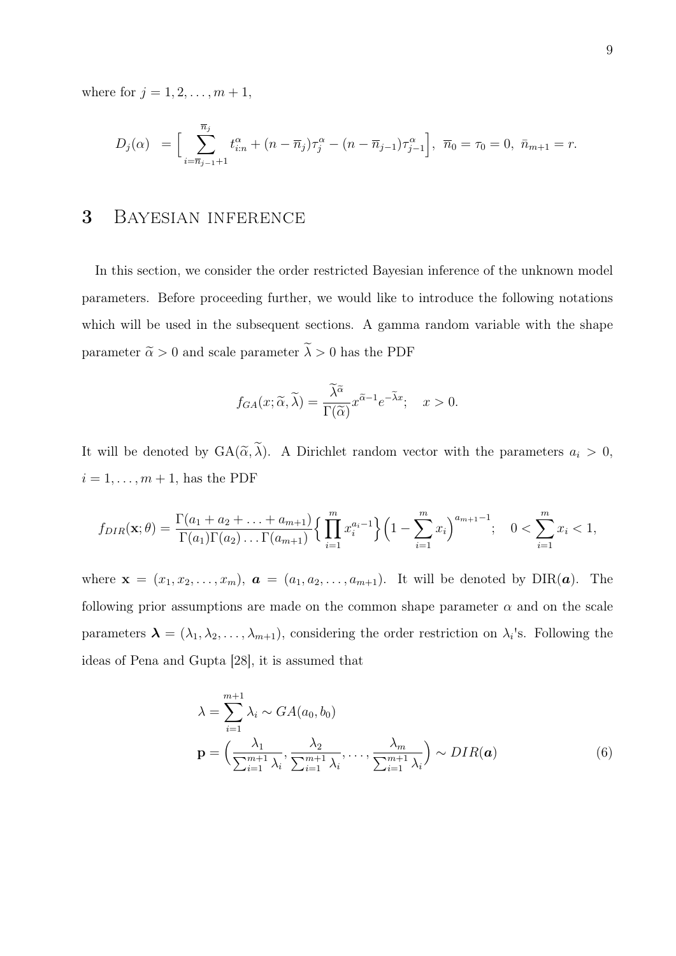where for  $j = 1, 2, ..., m + 1$ ,

$$
D_j(\alpha) = \Big[\sum_{i=\overline{n}_{j-1}+1}^{\overline{n}_j} t_{i:n}^{\alpha} + (n-\overline{n}_j)\tau_j^{\alpha} - (n-\overline{n}_{j-1})\tau_{j-1}^{\alpha}\Big], \ \ \overline{n}_0 = \tau_0 = 0, \ \ \overline{n}_{m+1} = r.
$$

# 3 Bayesian inference

In this section, we consider the order restricted Bayesian inference of the unknown model parameters. Before proceeding further, we would like to introduce the following notations which will be used in the subsequent sections. A gamma random variable with the shape parameter  $\tilde{\alpha} > 0$  and scale parameter  $\tilde{\lambda} > 0$  has the PDF

$$
f_{GA}(x; \widetilde{\alpha}, \widetilde{\lambda}) = \frac{\widetilde{\lambda}^{\widetilde{\alpha}}}{\Gamma(\widetilde{\alpha})} x^{\widetilde{\alpha}-1} e^{-\widetilde{\lambda}x}; \quad x > 0.
$$

It will be denoted by  $GA(\tilde{\alpha}, \tilde{\lambda})$ . A Dirichlet random vector with the parameters  $a_i > 0$ ,  $i = 1, \ldots, m + 1$ , has the PDF

$$
f_{DIR}(\mathbf{x};\theta) = \frac{\Gamma(a_1 + a_2 + \dots + a_{m+1})}{\Gamma(a_1)\Gamma(a_2)\dots\Gamma(a_{m+1})} \Big\{ \prod_{i=1}^m x_i^{a_i - 1} \Big\} \Big( 1 - \sum_{i=1}^m x_i \Big)^{a_{m+1} - 1}; \quad 0 < \sum_{i=1}^m x_i < 1,
$$

where  $\mathbf{x} = (x_1, x_2, \ldots, x_m)$ ,  $\mathbf{a} = (a_1, a_2, \ldots, a_{m+1})$ . It will be denoted by DIR( $\mathbf{a}$ ). The following prior assumptions are made on the common shape parameter  $\alpha$  and on the scale parameters  $\boldsymbol{\lambda} = (\lambda_1, \lambda_2, \dots, \lambda_{m+1})$ , considering the order restriction on  $\lambda_i$ 's. Following the ideas of Pena and Gupta [28], it is assumed that

$$
\lambda = \sum_{i=1}^{m+1} \lambda_i \sim GA(a_0, b_0)
$$
  

$$
\mathbf{p} = \left(\frac{\lambda_1}{\sum_{i=1}^{m+1} \lambda_i}, \frac{\lambda_2}{\sum_{i=1}^{m+1} \lambda_i}, \dots, \frac{\lambda_m}{\sum_{i=1}^{m+1} \lambda_i}\right) \sim DIR(\mathbf{a})
$$
 (6)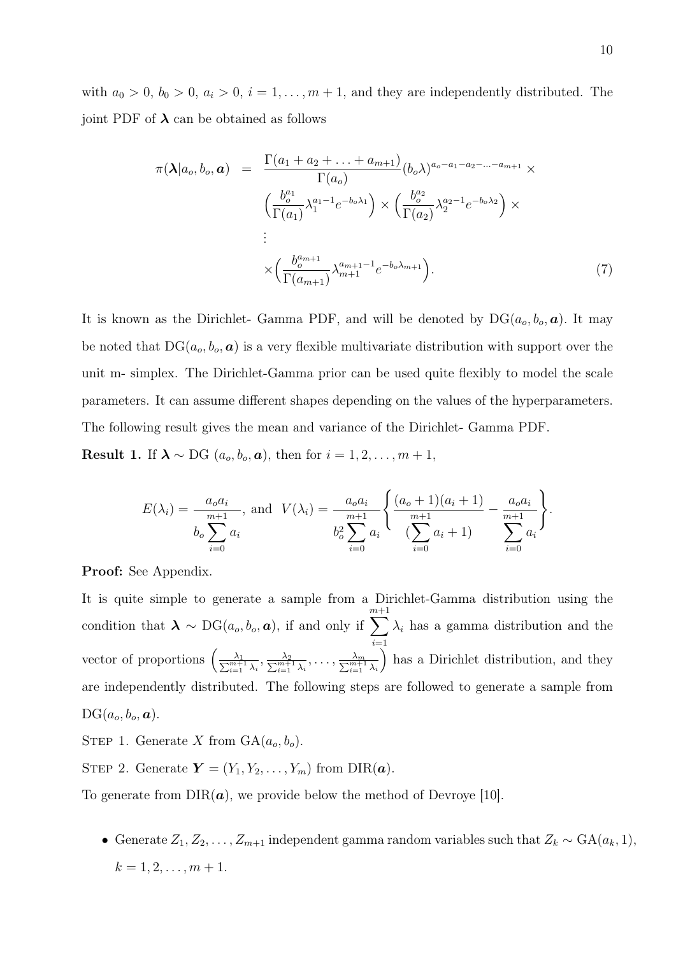with  $a_0 > 0$ ,  $b_0 > 0$ ,  $a_i > 0$ ,  $i = 1, \ldots, m + 1$ , and they are independently distributed. The joint PDF of  $\lambda$  can be obtained as follows

$$
\pi(\lambda|a_o, b_o, \mathbf{a}) = \frac{\Gamma(a_1 + a_2 + \dots + a_{m+1})}{\Gamma(a_o)} (b_o \lambda)^{a_o - a_1 - a_2 - \dots - a_{m+1}} \times \left(\frac{b_o^{a_1}}{\Gamma(a_1)} \lambda_1^{a_1 - 1} e^{-b_o \lambda_1}\right) \times \left(\frac{b_o^{a_2}}{\Gamma(a_2)} \lambda_2^{a_2 - 1} e^{-b_o \lambda_2}\right) \times \vdots \n\vdots \n\times \left(\frac{b_o^{a_{m+1}}}{\Gamma(a_{m+1})} \lambda_{m+1}^{a_{m+1} - 1} e^{-b_o \lambda_{m+1}}\right).
$$
\n(7)

It is known as the Dirichlet- Gamma PDF, and will be denoted by  $DG(a_o, b_o, a)$ . It may be noted that  $DG(a_o, b_o, a)$  is a very flexible multivariate distribution with support over the unit m- simplex. The Dirichlet-Gamma prior can be used quite flexibly to model the scale parameters. It can assume different shapes depending on the values of the hyperparameters. The following result gives the mean and variance of the Dirichlet- Gamma PDF.

**Result 1.** If  $\lambda \sim DG$  ( $a_o, b_o, a$ ), then for  $i = 1, 2, ..., m + 1$ ,

$$
E(\lambda_i) = \frac{a_o a_i}{b_o \sum_{i=0}^{m+1} a_i}, \text{ and } V(\lambda_i) = \frac{a_o a_i}{b_o^2 \sum_{i=0}^{m+1} a_i} \left\{ \frac{(a_o + 1)(a_i + 1)}{\sum_{i=0}^{m+1} a_i + 1} - \frac{a_o a_i}{\sum_{i=0}^{m+1} a_i} \right\}.
$$

Proof: See Appendix.

It is quite simple to generate a sample from a Dirichlet-Gamma distribution using the condition that  $\lambda \sim DG(a_o, b_o, a)$ , if and only if m $\sum$  $^{+1}$  $i=1$  $\lambda_i$  has a gamma distribution and the vector of proportions  $\left(\frac{\overline{}}{\sum_{i=1}^{n}}\right)$  $\frac{\lambda_1}{\frac{m+1}{i=1}\,\lambda_i},\frac{\lambda_2}{\sum_{i=1}^{m+1}\lambda_i},\ldots,\frac{\lambda_m}{\sum_{i=1}^{m+1}\lambda_i}$ ) has a Dirichlet distribution, and they are independently distributed. The following steps are followed to generate a sample from  $DG(a_o, b_o, a).$ 

STEP 1. Generate X from  $GA(a_o, b_o)$ .

STEP 2. Generate  $\boldsymbol{Y} = (Y_1, Y_2, \dots, Y_m)$  from DIR( $\boldsymbol{a}$ ).

To generate from  $DIR(a)$ , we provide below the method of Devroye [10].

• Generate  $Z_1, Z_2, \ldots, Z_{m+1}$  independent gamma random variables such that  $Z_k \sim GA(a_k, 1)$ ,  $k = 1, 2, \ldots, m + 1.$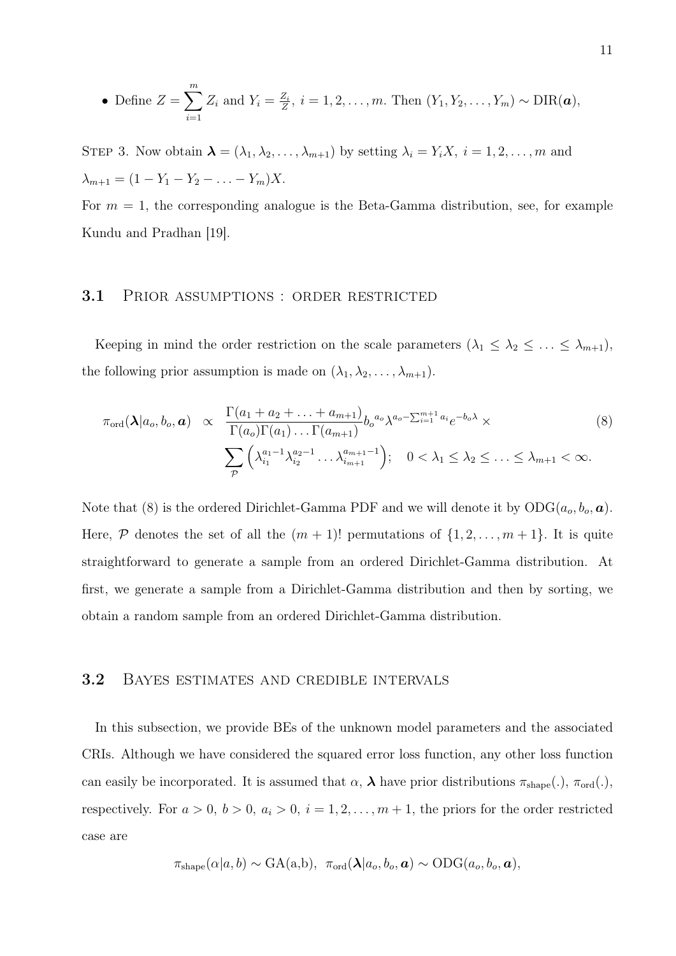• Define 
$$
Z = \sum_{i=1}^{m} Z_i
$$
 and  $Y_i = \frac{Z_i}{Z}$ ,  $i = 1, 2, \ldots, m$ . Then  $(Y_1, Y_2, \ldots, Y_m) \sim \text{DIR}(\boldsymbol{a})$ ,

STEP 3. Now obtain  $\boldsymbol{\lambda} = (\lambda_1, \lambda_2, \dots, \lambda_{m+1})$  by setting  $\lambda_i = Y_i X$ ,  $i = 1, 2, \dots, m$  and  $\lambda_{m+1} = (1 - Y_1 - Y_2 - \ldots - Y_m)X.$ 

For  $m = 1$ , the corresponding analogue is the Beta-Gamma distribution, see, for example Kundu and Pradhan [19].

#### 3.1 PRIOR ASSUMPTIONS : ORDER RESTRICTED

Keeping in mind the order restriction on the scale parameters  $(\lambda_1 \leq \lambda_2 \leq \ldots \leq \lambda_{m+1}),$ the following prior assumption is made on  $(\lambda_1, \lambda_2, \dots, \lambda_{m+1})$ .

$$
\pi_{\text{ord}}(\lambda|a_o, b_o, \mathbf{a}) \propto \frac{\Gamma(a_1 + a_2 + \dots + a_{m+1})}{\Gamma(a_o)\Gamma(a_1) \dots \Gamma(a_{m+1})} b_o^{a_o} \lambda^{a_o - \sum_{i=1}^{m+1} a_i} e^{-b_o \lambda} \times \sum_{\mathcal{P}} \left( \lambda_{i_1}^{a_1 - 1} \lambda_{i_2}^{a_2 - 1} \dots \lambda_{i_{m+1}}^{a_{m+1} - 1} \right); \quad 0 < \lambda_1 \leq \lambda_2 \leq \dots \leq \lambda_{m+1} < \infty.
$$
\n
$$
(8)
$$

Note that (8) is the ordered Dirichlet-Gamma PDF and we will denote it by  $ODG(a_o, b_o, a)$ . Here,  $P$  denotes the set of all the  $(m + 1)!$  permutations of  $\{1, 2, \ldots, m + 1\}$ . It is quite straightforward to generate a sample from an ordered Dirichlet-Gamma distribution. At first, we generate a sample from a Dirichlet-Gamma distribution and then by sorting, we obtain a random sample from an ordered Dirichlet-Gamma distribution.

#### 3.2 Bayes estimates and credible intervals

In this subsection, we provide BEs of the unknown model parameters and the associated CRIs. Although we have considered the squared error loss function, any other loss function can easily be incorporated. It is assumed that  $\alpha$ ,  $\lambda$  have prior distributions  $\pi_{shape}(.)$ ,  $\pi_{ord}(.)$ , respectively. For  $a > 0$ ,  $b > 0$ ,  $a_i > 0$ ,  $i = 1, 2, ..., m + 1$ , the priors for the order restricted case are

$$
\pi_{\text{shape}}(\alpha|a, b) \sim \text{GA}(a, b), \ \ \pi_{\text{ord}}(\boldsymbol{\lambda}|a_o, b_o, \boldsymbol{a}) \sim \text{ODG}(a_o, b_o, \boldsymbol{a}),
$$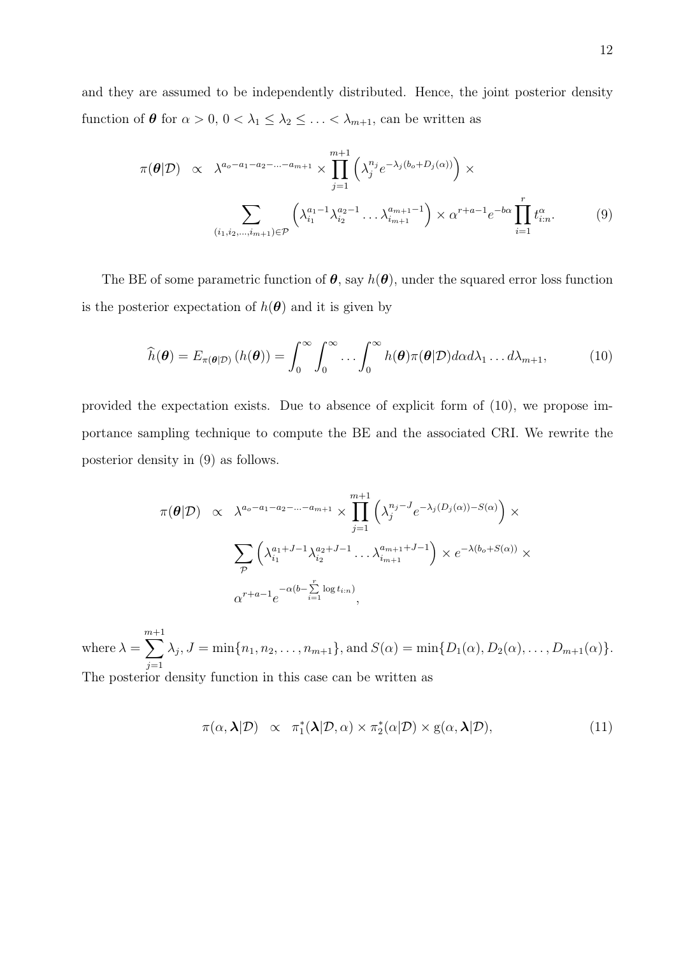and they are assumed to be independently distributed. Hence, the joint posterior density function of  $\theta$  for  $\alpha > 0$ ,  $0 < \lambda_1 \leq \lambda_2 \leq \ldots < \lambda_{m+1}$ , can be written as

$$
\pi(\theta|\mathcal{D}) \propto \lambda^{a_o - a_1 - a_2 - \dots - a_{m+1}} \times \prod_{j=1}^{m+1} \left( \lambda_j^{n_j} e^{-\lambda_j (b_o + D_j(\alpha))} \right) \times
$$

$$
\sum_{(i_1, i_2, \dots, i_{m+1}) \in \mathcal{P}} \left( \lambda_{i_1}^{a_1 - 1} \lambda_{i_2}^{a_2 - 1} \dots \lambda_{i_{m+1}}^{a_{m+1} - 1} \right) \times \alpha^{r+a-1} e^{-b\alpha} \prod_{i=1}^r t_{i:n}^{\alpha}.
$$
 (9)

The BE of some parametric function of  $\theta$ , say  $h(\theta)$ , under the squared error loss function is the posterior expectation of  $h(\theta)$  and it is given by

$$
\widehat{h}(\boldsymbol{\theta}) = E_{\pi(\boldsymbol{\theta}|\mathcal{D})} (h(\boldsymbol{\theta})) = \int_0^\infty \int_0^\infty \dots \int_0^\infty h(\boldsymbol{\theta}) \pi(\boldsymbol{\theta}|\mathcal{D}) d\alpha d\lambda_1 \dots d\lambda_{m+1}, \tag{10}
$$

provided the expectation exists. Due to absence of explicit form of (10), we propose importance sampling technique to compute the BE and the associated CRI. We rewrite the posterior density in (9) as follows.

$$
\pi(\boldsymbol{\theta}|\mathcal{D}) \propto \lambda^{a_o - a_1 - a_2 - \dots - a_{m+1}} \times \prod_{j=1}^{m+1} \left( \lambda_j^{n_j - J} e^{-\lambda_j (D_j(\alpha)) - S(\alpha)} \right) \times
$$

$$
\sum_{\mathcal{P}} \left( \lambda_{i_1}^{a_1 + J - 1} \lambda_{i_2}^{a_2 + J - 1} \dots \lambda_{i_{m+1}}^{a_{m+1} + J - 1} \right) \times e^{-\lambda (b_o + S(\alpha))} \times
$$

$$
\alpha^{r+a-1} e^{-\alpha (b - \sum_{i=1}^r \log t_{i:n})},
$$

where  $\lambda =$ m $\sum$  $^{+1}$  $j=1$  $\lambda_j, J = \min\{n_1, n_2, \dots, n_{m+1}\},\$  and  $S(\alpha) = \min\{D_1(\alpha), D_2(\alpha), \dots, D_{m+1}(\alpha)\}.$ The posterior density function in this case can be written as

$$
\pi(\alpha, \lambda | \mathcal{D}) \propto \pi_1^*(\lambda | \mathcal{D}, \alpha) \times \pi_2^*(\alpha | \mathcal{D}) \times g(\alpha, \lambda | \mathcal{D}), \tag{11}
$$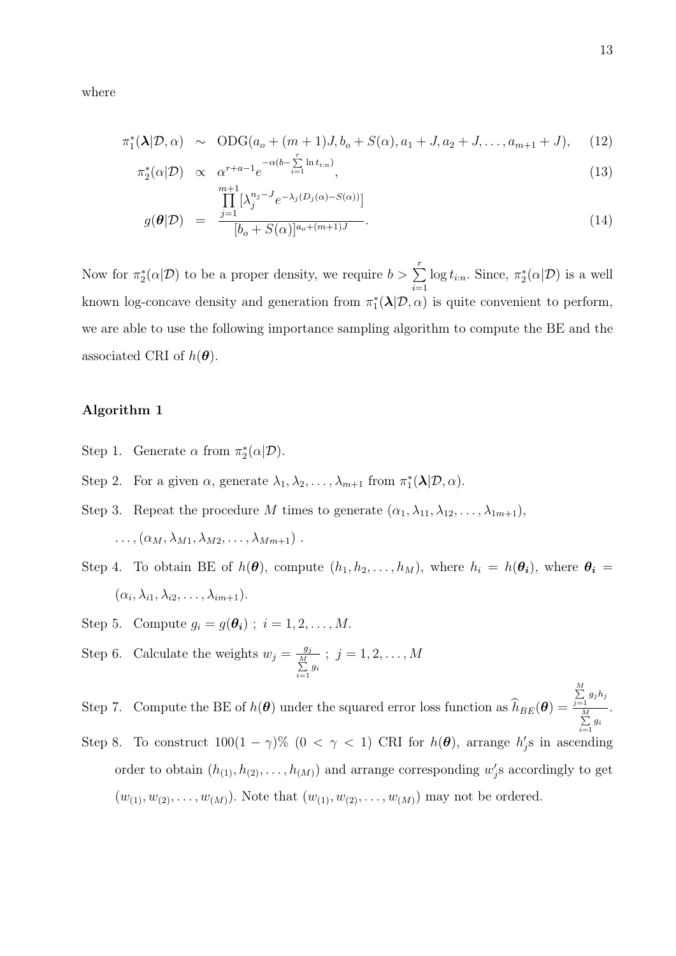where

$$
\pi_1^*(\lambda | \mathcal{D}, \alpha) \sim \text{ODG}(a_o + (m+1)J, b_o + S(\alpha), a_1 + J, a_2 + J, \dots, a_{m+1} + J), \quad (12)
$$

$$
\pi_2^*(\alpha|\mathcal{D}) \propto \alpha^{r+a-1} e^{-\alpha(b-\sum_{i=1}^r \ln t_{i:n})}, \tag{13}
$$

$$
g(\boldsymbol{\theta}|\mathcal{D}) = \frac{\prod_{j=1}^{m+1} [\lambda_j^{n_j-J} e^{-\lambda_j(D_j(\alpha)-S(\alpha))}]}{[b_o+S(\alpha)]^{a_o+(m+1)J}}.
$$
\n(14)

Now for  $\pi_2^*(\alpha|\mathcal{D})$  to be a proper density, we require  $b > \sum$ <sup>r</sup>  $i=1$  $log t_{i:n}$ . Since,  $\pi_2^*(\alpha|\mathcal{D})$  is a well known log-concave density and generation from  $\pi_1^*(\lambda | \mathcal{D}, \alpha)$  is quite convenient to perform, we are able to use the following importance sampling algorithm to compute the BE and the associated CRI of  $h(\boldsymbol{\theta})$ .

#### Algorithm 1

- Step 1. Generate  $\alpha$  from  $\pi_2^*(\alpha|\mathcal{D})$ .
- Step 2. For a given  $\alpha$ , generate  $\lambda_1, \lambda_2, \ldots, \lambda_{m+1}$  from  $\pi_1^*(\lambda | \mathcal{D}, \alpha)$ .
- Step 3. Repeat the procedure M times to generate  $(\alpha_1, \lambda_{11}, \lambda_{12}, \ldots, \lambda_{1m+1})$ .  $\ldots,(\alpha_M,\lambda_{M1},\lambda_{M2},\ldots,\lambda_{Mm+1})$ .
- Step 4. To obtain BE of  $h(\theta)$ , compute  $(h_1, h_2, \ldots, h_M)$ , where  $h_i = h(\theta_i)$ , where  $\theta_i =$  $(\alpha_i, \lambda_{i1}, \lambda_{i2}, \ldots, \lambda_{im+1}).$
- Step 5. Compute  $g_i = g(\theta_i)$ ;  $i = 1, 2, ..., M$ .
- Step 6. Calculate the weights  $w_j = \frac{g_j}{M}$  $\sum_{i=1}^M g_i$  $; j = 1, 2, \ldots, M$

Step 7. Compute the BE of  $h(\theta)$  under the squared error loss function as  $h_{BE}(\theta) =$  $\sum_{j=1}^M g_j h_j$  $\sum_{i=1}^M g_i$ .

Step 8. To construct  $100(1 - \gamma)$ %  $(0 < \gamma < 1)$  CRI for  $h(\theta)$ , arrange  $h'_j$ s in ascending order to obtain  $(h_{(1)}, h_{(2)}, \ldots, h_{(M)})$  and arrange corresponding  $w'_j$ s accordingly to get  $(w_{(1)}, w_{(2)}, \ldots, w_{(M)})$ . Note that  $(w_{(1)}, w_{(2)}, \ldots, w_{(M)})$  may not be ordered.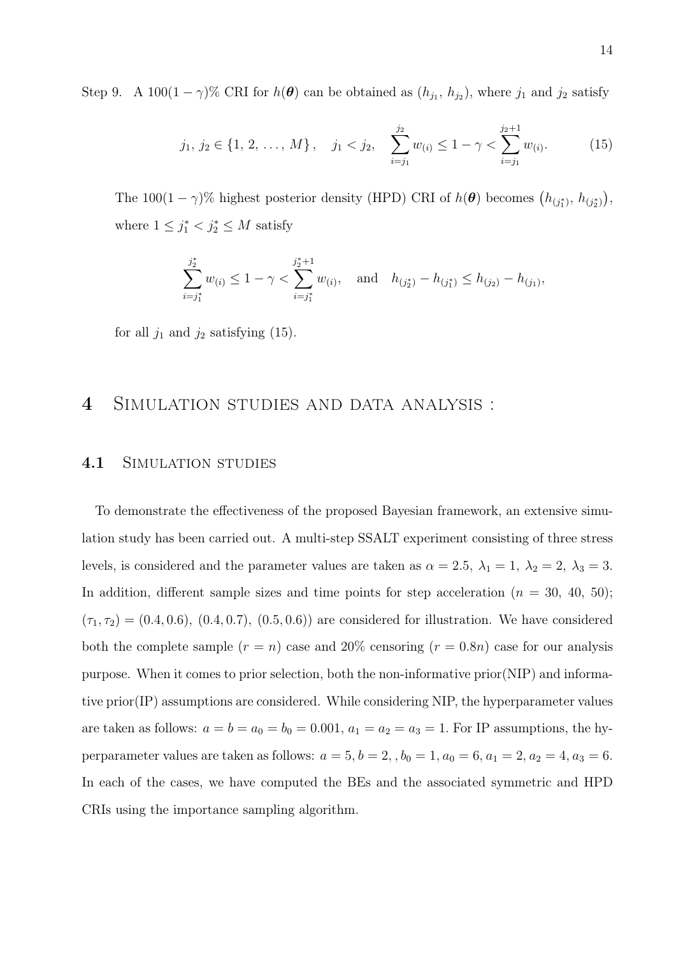Step 9. A 100 $(1 - \gamma)$ % CRI for  $h(\theta)$  can be obtained as  $(h_{j_1}, h_{j_2})$ , where  $j_1$  and  $j_2$  satisfy

$$
j_1, j_2 \in \{1, 2, ..., M\}, \quad j_1 < j_2, \quad \sum_{i=j_1}^{j_2} w_{(i)} \le 1 - \gamma < \sum_{i=j_1}^{j_2+1} w_{(i)}.
$$
 (15)

The 100(1 –  $\gamma$ )% highest posterior density (HPD) CRI of  $h(\theta)$  becomes  $(h_{(j_1^*}, h_{(j_2^*)})$ , where  $1 \leq j_1^* < j_2^* \leq M$  satisfy

$$
\sum_{i=j_1^*}^{j_2^*} w_{(i)} \le 1 - \gamma < \sum_{i=j_1^*}^{j_2^*+1} w_{(i)}, \quad \text{and} \quad h_{(j_2^*)} - h_{(j_1^*)} \le h_{(j_2)} - h_{(j_1)},
$$

for all  $j_1$  and  $j_2$  satisfying (15).

## 4 Simulation studies and data analysis :

#### 4.1 SIMULATION STUDIES

To demonstrate the effectiveness of the proposed Bayesian framework, an extensive simulation study has been carried out. A multi-step SSALT experiment consisting of three stress levels, is considered and the parameter values are taken as  $\alpha = 2.5$ ,  $\lambda_1 = 1$ ,  $\lambda_2 = 2$ ,  $\lambda_3 = 3$ . In addition, different sample sizes and time points for step acceleration  $(n = 30, 40, 50)$ ;  $(\tau_1, \tau_2) = (0.4, 0.6), (0.4, 0.7), (0.5, 0.6)$  are considered for illustration. We have considered both the complete sample  $(r = n)$  case and 20% censoring  $(r = 0.8n)$  case for our analysis purpose. When it comes to prior selection, both the non-informative prior(NIP) and informative prior(IP) assumptions are considered. While considering NIP, the hyperparameter values are taken as follows:  $a = b = a_0 = b_0 = 0.001$ ,  $a_1 = a_2 = a_3 = 1$ . For IP assumptions, the hyperparameter values are taken as follows:  $a = 5, b = 2,$ ,  $b_0 = 1, a_0 = 6, a_1 = 2, a_2 = 4, a_3 = 6$ . In each of the cases, we have computed the BEs and the associated symmetric and HPD CRIs using the importance sampling algorithm.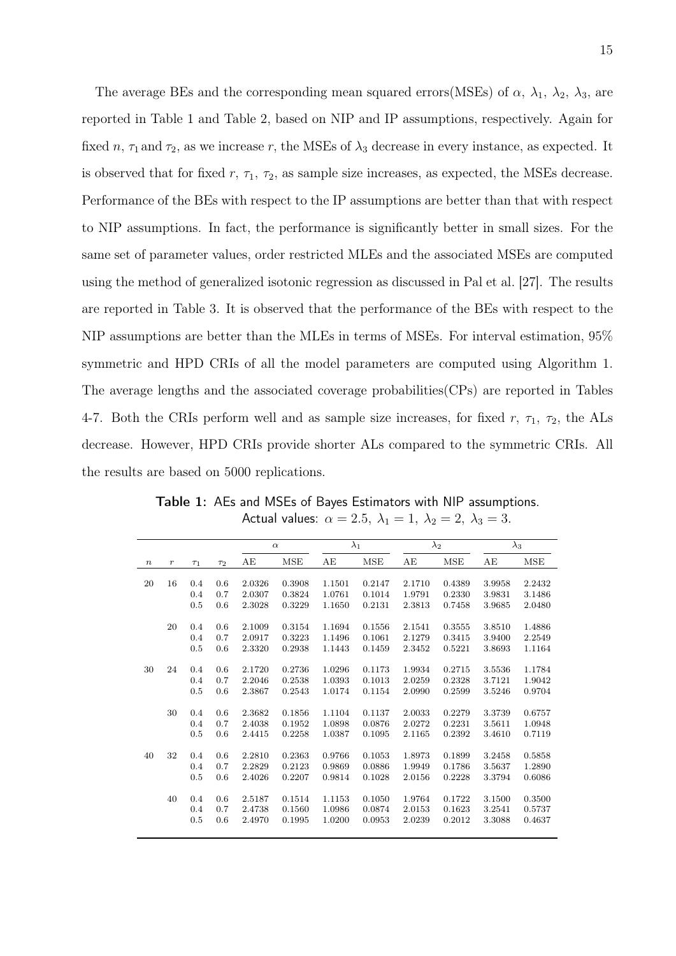The average BEs and the corresponding mean squared errors(MSEs) of  $\alpha$ ,  $\lambda_1$ ,  $\lambda_2$ ,  $\lambda_3$ , are reported in Table 1 and Table 2, based on NIP and IP assumptions, respectively. Again for fixed n,  $\tau_1$  and  $\tau_2$ , as we increase r, the MSEs of  $\lambda_3$  decrease in every instance, as expected. It is observed that for fixed  $r$ ,  $\tau_1$ ,  $\tau_2$ , as sample size increases, as expected, the MSEs decrease. Performance of the BEs with respect to the IP assumptions are better than that with respect to NIP assumptions. In fact, the performance is significantly better in small sizes. For the same set of parameter values, order restricted MLEs and the associated MSEs are computed using the method of generalized isotonic regression as discussed in Pal et al. [27]. The results are reported in Table 3. It is observed that the performance of the BEs with respect to the NIP assumptions are better than the MLEs in terms of MSEs. For interval estimation, 95% symmetric and HPD CRIs of all the model parameters are computed using Algorithm 1. The average lengths and the associated coverage probabilities(CPs) are reported in Tables 4-7. Both the CRIs perform well and as sample size increases, for fixed r,  $\tau_1$ ,  $\tau_2$ , the ALs decrease. However, HPD CRIs provide shorter ALs compared to the symmetric CRIs. All the results are based on 5000 replications.

|        |         |          |          |        | $\alpha$ |        | $\lambda_1$ |        | $\lambda_2$ |        | $\lambda_3$ |
|--------|---------|----------|----------|--------|----------|--------|-------------|--------|-------------|--------|-------------|
| $\, n$ | $\,r\,$ | $\tau_1$ | $\tau_2$ | AE     | MSE      | AE     | MSE         | AЕ     | MSE         | AE     | MSE         |
|        |         |          |          |        |          |        |             |        |             |        |             |
| 20     | 16      | 0.4      | 0.6      | 2.0326 | 0.3908   | 1.1501 | 0.2147      | 2.1710 | 0.4389      | 3.9958 | 2.2432      |
|        |         | 0.4      | 0.7      | 2.0307 | 0.3824   | 1.0761 | 0.1014      | 1.9791 | 0.2330      | 3.9831 | 3.1486      |
|        |         | 0.5      | 0.6      | 2.3028 | 0.3229   | 1.1650 | 0.2131      | 2.3813 | 0.7458      | 3.9685 | 2.0480      |
|        | 20      | 0.4      | 0.6      | 2.1009 | 0.3154   | 1.1694 | 0.1556      | 2.1541 | 0.3555      | 3.8510 | 1.4886      |
|        |         | 0.4      | 0.7      | 2.0917 | 0.3223   | 1.1496 | 0.1061      | 2.1279 | 0.3415      | 3.9400 | 2.2549      |
|        |         | 0.5      | 0.6      | 2.3320 | 0.2938   | 1.1443 | 0.1459      | 2.3452 | 0.5221      | 3.8693 | 1.1164      |
|        |         |          |          |        |          |        |             |        |             |        |             |
| 30     | 24      | 0.4      | 0.6      | 2.1720 | 0.2736   | 1.0296 | 0.1173      | 1.9934 | 0.2715      | 3.5536 | 1.1784      |
|        |         | 0.4      | 0.7      | 2.2046 | 0.2538   | 1.0393 | 0.1013      | 2.0259 | 0.2328      | 3.7121 | 1.9042      |
|        |         | 0.5      | 0.6      | 2.3867 | 0.2543   | 1.0174 | 0.1154      | 2.0990 | 0.2599      | 3.5246 | 0.9704      |
|        |         |          |          |        |          |        |             |        |             |        |             |
|        | 30      | 0.4      | 0.6      | 2.3682 | 0.1856   | 1.1104 | 0.1137      | 2.0033 | 0.2279      | 3.3739 | 0.6757      |
|        |         | 0.4      | 0.7      | 2.4038 | 0.1952   | 1.0898 | 0.0876      | 2.0272 | 0.2231      | 3.5611 | 1.0948      |
|        |         | 0.5      | 0.6      | 2.4415 | 0.2258   | 1.0387 | 0.1095      | 2.1165 | 0.2392      | 3.4610 | 0.7119      |
| 40     | 32      | 0.4      | 0.6      | 2.2810 | 0.2363   | 0.9766 | 0.1053      | 1.8973 | 0.1899      | 3.2458 | 0.5858      |
|        |         | 0.4      | 0.7      | 2.2829 | 0.2123   | 0.9869 | 0.0886      | 1.9949 | 0.1786      | 3.5637 | 1.2890      |
|        |         | 0.5      | 0.6      | 2.4026 | 0.2207   | 0.9814 | 0.1028      | 2.0156 | 0.2228      | 3.3794 | 0.6086      |
|        |         |          |          |        |          |        |             |        |             |        |             |
|        | 40      | 0.4      | 0.6      | 2.5187 | 0.1514   | 1.1153 | 0.1050      | 1.9764 | 0.1722      | 3.1500 | 0.3500      |
|        |         | 0.4      | 0.7      | 2.4738 | 0.1560   | 1.0986 | 0.0874      | 2.0153 | 0.1623      | 3.2541 | 0.5737      |
|        |         | 0.5      | 0.6      | 2.4970 | 0.1995   | 1.0200 | 0.0953      | 2.0239 | 0.2012      | 3.3088 | 0.4637      |
|        |         |          |          |        |          |        |             |        |             |        |             |

Table 1: AEs and MSEs of Bayes Estimators with NIP assumptions. Actual values:  $\alpha = 2.5$ ,  $\lambda_1 = 1$ ,  $\lambda_2 = 2$ ,  $\lambda_3 = 3$ .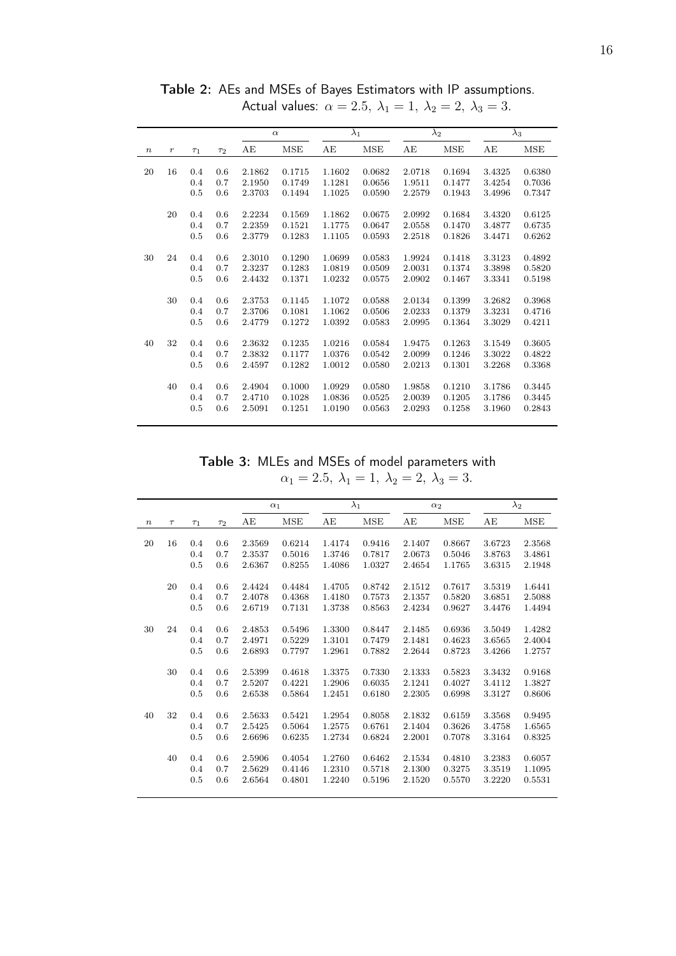|                  |         |                |          |        | $\alpha$ |        | $\lambda_1$ |        | $\lambda_2$ |        | $\lambda_3$ |
|------------------|---------|----------------|----------|--------|----------|--------|-------------|--------|-------------|--------|-------------|
| $\boldsymbol{n}$ | $\,r\,$ | T <sub>1</sub> | $\tau_2$ | AЕ     | MSE      | AE     | MSE         | AЕ     | MSE         | AЕ     | MSE         |
| 20               | 16      | 0.4            | 0.6      | 2.1862 | 0.1715   | 1.1602 | 0.0682      | 2.0718 | 0.1694      | 3.4325 | 0.6380      |
|                  |         |                |          |        |          |        |             |        |             |        |             |
|                  |         | 0.4            | 0.7      | 2.1950 | 0.1749   | 1.1281 | 0.0656      | 1.9511 | 0.1477      | 3.4254 | 0.7036      |
|                  |         | 0.5            | 0.6      | 2.3703 | 0.1494   | 1.1025 | 0.0590      | 2.2579 | 0.1943      | 3.4996 | 0.7347      |
|                  | 20      | 0.4            | 0.6      | 2.2234 | 0.1569   | 1.1862 | 0.0675      | 2.0992 | 0.1684      | 3.4320 | 0.6125      |
|                  |         | 0.4            | 0.7      | 2.2359 | 0.1521   | 1.1775 | 0.0647      | 2.0558 | 0.1470      | 3.4877 | 0.6735      |
|                  |         | 0.5            | 0.6      | 2.3779 | 0.1283   | 1.1105 | 0.0593      | 2.2518 | 0.1826      | 3.4471 | 0.6262      |
|                  |         |                |          |        |          |        |             |        |             |        |             |
| 30               | 24      | 0.4            | 0.6      | 2.3010 | 0.1290   | 1.0699 | 0.0583      | 1.9924 | 0.1418      | 3.3123 | 0.4892      |
|                  |         | 0.4            | 0.7      | 2.3237 | 0.1283   | 1.0819 | 0.0509      | 2.0031 | 0.1374      | 3.3898 | 0.5820      |
|                  |         | 0.5            | 0.6      | 2.4432 | 0.1371   | 1.0232 | 0.0575      | 2.0902 | 0.1467      | 3.3341 | 0.5198      |
|                  |         |                |          |        |          |        |             |        |             |        |             |
|                  | 30      | 0.4            | 0.6      | 2.3753 | 0.1145   | 1.1072 | 0.0588      | 2.0134 | 0.1399      | 3.2682 | 0.3968      |
|                  |         | 0.4            | 0.7      | 2.3706 | 0.1081   | 1.1062 | 0.0506      | 2.0233 | 0.1379      | 3.3231 | 0.4716      |
|                  |         | 0.5            | 0.6      | 2.4779 | 0.1272   | 1.0392 | 0.0583      | 2.0995 | 0.1364      | 3.3029 | 0.4211      |
|                  |         |                |          |        |          |        |             |        |             |        |             |
| 40               | 32      | 0.4            | 0.6      | 2.3632 | 0.1235   | 1.0216 | 0.0584      | 1.9475 | 0.1263      | 3.1549 | 0.3605      |
|                  |         | 0.4            | 0.7      | 2.3832 | 0.1177   | 1.0376 | 0.0542      | 2.0099 | 0.1246      | 3.3022 | 0.4822      |
|                  |         | 0.5            | 0.6      | 2.4597 | 0.1282   | 1.0012 | 0.0580      | 2.0213 | 0.1301      | 3.2268 | 0.3368      |
|                  |         |                |          |        |          |        |             |        |             |        |             |
|                  | 40      | 0.4            | 0.6      | 2.4904 | 0.1000   | 1.0929 | 0.0580      | 1.9858 | 0.1210      | 3.1786 | 0.3445      |
|                  |         | 0.4            | 0.7      | 2.4710 | 0.1028   | 1.0836 | 0.0525      | 2.0039 | 0.1205      | 3.1786 | 0.3445      |
|                  |         | 0.5            | 0.6      | 2.5091 | 0.1251   | 1.0190 | 0.0563      | 2.0293 | 0.1258      | 3.1960 | 0.2843      |
|                  |         |                |          |        |          |        |             |        |             |        |             |

Table 2: AEs and MSEs of Bayes Estimators with IP assumptions. Actual values:  $\alpha = 2.5, \ \lambda_1 = 1, \ \lambda_2 = 2, \ \lambda_3 = 3.$ 

Table 3: MLEs and MSEs of model parameters with  $\alpha_1 = 2.5, \ \lambda_1 = 1, \ \lambda_2 = 2, \ \lambda_3 = 3.$ 

|                  |        |          |     |        | $\alpha_1$ |        | $\lambda_1$ |        | $\alpha_2$ |        | $\lambda_2$ |
|------------------|--------|----------|-----|--------|------------|--------|-------------|--------|------------|--------|-------------|
| $\boldsymbol{n}$ | $\tau$ | $\tau_1$ | T2  | AE     | <b>MSE</b> | AE     | <b>MSE</b>  | AЕ     | <b>MSE</b> | AE     | <b>MSE</b>  |
|                  |        |          |     |        |            |        |             |        |            |        |             |
| 20               | 16     | 0.4      | 0.6 | 2.3569 | 0.6214     | 1.4174 | 0.9416      | 2.1407 | 0.8667     | 3.6723 | 2.3568      |
|                  |        | 0.4      | 0.7 | 2.3537 | 0.5016     | 1.3746 | 0.7817      | 2.0673 | 0.5046     | 3.8763 | 3.4861      |
|                  |        | 0.5      | 0.6 | 2.6367 | 0.8255     | 1.4086 | 1.0327      | 2.4654 | 1.1765     | 3.6315 | 2.1948      |
|                  | 20     | 0.4      | 0.6 | 2.4424 | 0.4484     | 1.4705 | 0.8742      | 2.1512 | 0.7617     | 3.5319 | 1.6441      |
|                  |        | 0.4      | 0.7 | 2.4078 | 0.4368     | 1.4180 | 0.7573      | 2.1357 | 0.5820     | 3.6851 | 2.5088      |
|                  |        | 0.5      | 0.6 | 2.6719 | 0.7131     | 1.3738 | 0.8563      | 2.4234 | 0.9627     | 3.4476 | 1.4494      |
| 30               | 24     | 0.4      | 0.6 | 2.4853 | 0.5496     | 1.3300 | 0.8447      | 2.1485 | 0.6936     | 3.5049 | 1.4282      |
|                  |        | 0.4      | 0.7 | 2.4971 | 0.5229     | 1.3101 | 0.7479      | 2.1481 | 0.4623     | 3.6565 | 2.4004      |
|                  |        | 0.5      | 0.6 | 2.6893 | 0.7797     | 1.2961 | 0.7882      | 2.2644 | 0.8723     | 3.4266 | 1.2757      |
|                  |        |          |     |        |            |        |             |        |            |        |             |
|                  | 30     | 0.4      | 0.6 | 2.5399 | 0.4618     | 1.3375 | 0.7330      | 2.1333 | 0.5823     | 3.3432 | 0.9168      |
|                  |        | 0.4      | 0.7 | 2.5207 | 0.4221     | 1.2906 | 0.6035      | 2.1241 | 0.4027     | 3.4112 | 1.3827      |
|                  |        | 0.5      | 0.6 | 2.6538 | 0.5864     | 1.2451 | 0.6180      | 2.2305 | 0.6998     | 3.3127 | 0.8606      |
| 40               | 32     | 0.4      | 0.6 | 2.5633 | 0.5421     | 1.2954 | 0.8058      | 2.1832 | 0.6159     | 3.3568 | 0.9495      |
|                  |        | 0.4      | 0.7 | 2.5425 | 0.5064     | 1.2575 | 0.6761      | 2.1404 | 0.3626     | 3.4758 | 1.6565      |
|                  |        | 0.5      | 0.6 | 2.6696 | 0.6235     | 1.2734 | 0.6824      | 2.2001 | 0.7078     | 3.3164 | 0.8325      |
|                  |        |          |     |        |            |        |             |        |            |        |             |
|                  | 40     | 0.4      | 0.6 | 2.5906 | 0.4054     | 1.2760 | 0.6462      | 2.1534 | 0.4810     | 3.2383 | 0.6057      |
|                  |        | 0.4      | 0.7 | 2.5629 | 0.4146     | 1.2310 | 0.5718      | 2.1300 | 0.3275     | 3.3519 | 1.1095      |
|                  |        | 0.5      | 0.6 | 2.6564 | 0.4801     | 1.2240 | 0.5196      | 2.1520 | 0.5570     | 3.2220 | 0.5531      |
|                  |        |          |     |        |            |        |             |        |            |        |             |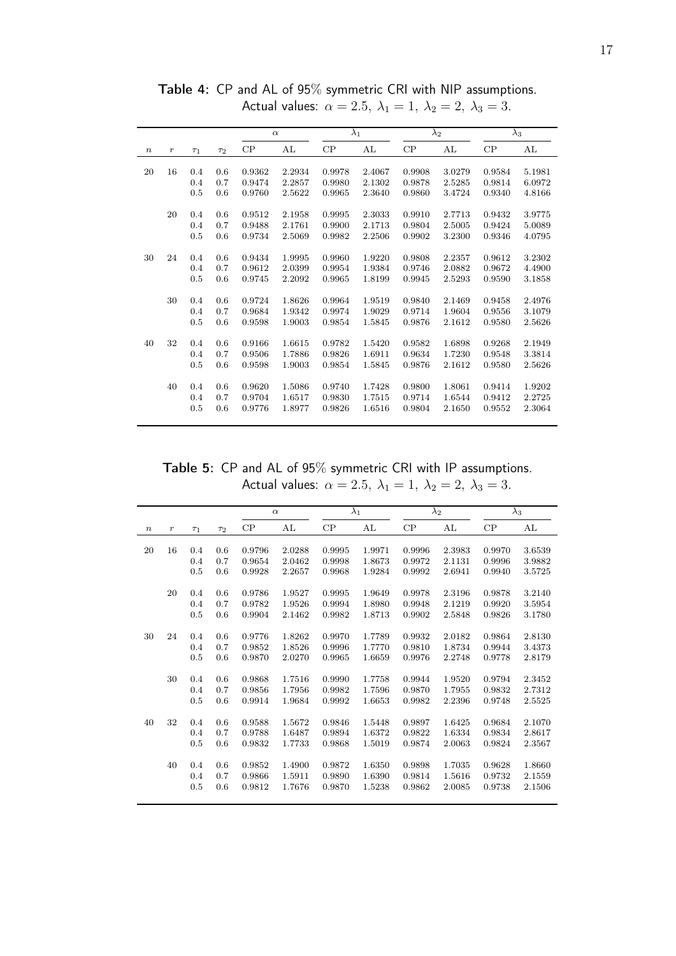|                  |                  |          |          |        | $\alpha$ |        | $\lambda_1$ |        | $\lambda_2$ |        | $\lambda_3$ |
|------------------|------------------|----------|----------|--------|----------|--------|-------------|--------|-------------|--------|-------------|
| $\boldsymbol{n}$ | $\boldsymbol{r}$ | $\tau_1$ | $\tau_2$ | CP     | AL       | CP     | AL          | CP     | AL          | CP     | AL          |
|                  |                  |          |          |        |          |        |             |        |             |        |             |
| 20               | 16               | 0.4      | 0.6      | 0.9362 | 2.2934   | 0.9978 | 2.4067      | 0.9908 | 3.0279      | 0.9584 | 5.1981      |
|                  |                  | 0.4      | 0.7      | 0.9474 | 2.2857   | 0.9980 | 2.1302      | 0.9878 | 2.5285      | 0.9814 | 6.0972      |
|                  |                  | 0.5      | 0.6      | 0.9760 | 2.5622   | 0.9965 | 2.3640      | 0.9860 | 3.4724      | 0.9340 | 4.8166      |
|                  | 20               | 0.4      | 0.6      | 0.9512 | 2.1958   | 0.9995 | 2.3033      | 0.9910 | 2.7713      | 0.9432 | 3.9775      |
|                  |                  | 0.4      | 0.7      | 0.9488 | 2.1761   | 0.9900 | 2.1713      | 0.9804 | 2.5005      | 0.9424 | 5.0089      |
|                  |                  | 0.5      | 0.6      | 0.9734 | 2.5069   | 0.9982 | 2.2506      | 0.9902 | 3.2300      | 0.9346 | 4.0795      |
|                  |                  |          |          |        |          |        |             |        |             |        |             |
| 30               | 24               | 0.4      | 0.6      | 0.9434 | 1.9995   | 0.9960 | 1.9220      | 0.9808 | 2.2357      | 0.9612 | 3.2302      |
|                  |                  | 0.4      | 0.7      | 0.9612 | 2.0399   | 0.9954 | 1.9384      | 0.9746 | 2.0882      | 0.9672 | 4.4900      |
|                  |                  | 0.5      | 0.6      | 0.9745 | 2.2092   | 0.9965 | 1.8199      | 0.9945 | 2.5293      | 0.9590 | 3.1858      |
|                  |                  |          |          |        |          |        |             |        |             |        |             |
|                  | 30               | 0.4      | 0.6      | 0.9724 | 1.8626   | 0.9964 | 1.9519      | 0.9840 | 2.1469      | 0.9458 | 2.4976      |
|                  |                  | 0.4      | 0.7      | 0.9684 | 1.9342   | 0.9974 | 1.9029      | 0.9714 | 1.9604      | 0.9556 | 3.1079      |
|                  |                  | 0.5      | 0.6      | 0.9598 | 1.9003   | 0.9854 | 1.5845      | 0.9876 | 2.1612      | 0.9580 | 2.5626      |
|                  |                  |          |          |        |          |        |             |        |             |        |             |
| 40               | 32               | 0.4      | 0.6      | 0.9166 | 1.6615   | 0.9782 | 1.5420      | 0.9582 | 1.6898      | 0.9268 | 2.1949      |
|                  |                  | 0.4      | 0.7      | 0.9506 | 1.7886   | 0.9826 | 1.6911      | 0.9634 | 1.7230      | 0.9548 | 3.3814      |
|                  |                  | 0.5      | 0.6      | 0.9598 | 1.9003   | 0.9854 | 1.5845      | 0.9876 | 2.1612      | 0.9580 | 2.5626      |
|                  | 40               | 0.4      | 0.6      | 0.9620 | 1.5086   | 0.9740 | 1.7428      | 0.9800 | 1.8061      | 0.9414 | 1.9202      |
|                  |                  | 0.4      | 0.7      | 0.9704 | 1.6517   | 0.9830 | 1.7515      | 0.9714 | 1.6544      | 0.9412 | 2.2725      |
|                  |                  | 0.5      | 0.6      | 0.9776 | 1.8977   | 0.9826 | 1.6516      | 0.9804 | 2.1650      | 0.9552 | 2.3064      |
|                  |                  |          |          |        |          |        |             |        |             |        |             |

Table 4: CP and AL of 95% symmetric CRI with NIP assumptions. Actual values:  $\alpha = 2.5, \ \lambda_1 = 1, \ \lambda_2 = 2, \ \lambda_3 = 3.$ 

Table 5: CP and AL of 95% symmetric CRI with IP assumptions. Actual values:  $\alpha = 2.5, \lambda_1 = 1, \lambda_2 = 2, \lambda_3 = 3.$ 

|        |                  |          |          |        | $\alpha$ |        | $\lambda_1$ |        | $\lambda_2$ |        | $\lambda_3$ |
|--------|------------------|----------|----------|--------|----------|--------|-------------|--------|-------------|--------|-------------|
| $\, n$ | $\boldsymbol{r}$ | $\tau_1$ | $\tau_2$ | CP     | AL       | CP     | AL          | CP     | AL          | CP     | AL          |
| 20     | 16               | 0.4      | 0.6      | 0.9796 | 2.0288   | 0.9995 | 1.9971      | 0.9996 | 2.3983      | 0.9970 | 3.6539      |
|        |                  | 0.4      | 0.7      | 0.9654 | 2.0462   | 0.9998 | 1.8673      | 0.9972 | 2.1131      | 0.9996 | 3.9882      |
|        |                  | 0.5      | 0.6      | 0.9928 | 2.2657   | 0.9968 | 1.9284      | 0.9992 | 2.6941      | 0.9940 | 3.5725      |
|        | 20               | 0.4      | 0.6      | 0.9786 | 1.9527   | 0.9995 | 1.9649      | 0.9978 | 2.3196      | 0.9878 | 3.2140      |
|        |                  | 0.4      | 0.7      | 0.9782 | 1.9526   | 0.9994 | 1.8980      | 0.9948 | 2.1219      | 0.9920 | 3.5954      |
|        |                  | 0.5      | 0.6      | 0.9904 | 2.1462   | 0.9982 | 1.8713      | 0.9902 | 2.5848      | 0.9826 | 3.1780      |
| 30     | 24               | 0.4      | 0.6      | 0.9776 | 1.8262   | 0.9970 | 1.7789      | 0.9932 | 2.0182      | 0.9864 | 2.8130      |
|        |                  | 0.4      | 0.7      | 0.9852 | 1.8526   | 0.9996 | 1.7770      | 0.9810 | 1.8734      | 0.9944 | 3.4373      |
|        |                  | $0.5\,$  | 0.6      | 0.9870 | 2.0270   | 0.9965 | 1.6659      | 0.9976 | 2.2748      | 0.9778 | 2.8179      |
|        | 30               | 0.4      | 0.6      | 0.9868 | 1.7516   | 0.9990 | 1.7758      | 0.9944 | 1.9520      | 0.9794 | 2.3452      |
|        |                  | 0.4      | 0.7      | 0.9856 | 1.7956   | 0.9982 | 1.7596      | 0.9870 | 1.7955      | 0.9832 | 2.7312      |
|        |                  | 0.5      | 0.6      | 0.9914 | 1.9684   | 0.9992 | 1.6653      | 0.9982 | 2.2396      | 0.9748 | 2.5525      |
| 40     | 32               | 0.4      | 0.6      | 0.9588 | 1.5672   | 0.9846 | 1.5448      | 0.9897 | 1.6425      | 0.9684 | 2.1070      |
|        |                  | 0.4      | 0.7      | 0.9788 | 1.6487   | 0.9894 | 1.6372      | 0.9822 | 1.6334      | 0.9834 | 2.8617      |
|        |                  | 0.5      | 0.6      | 0.9832 | 1.7733   | 0.9868 | 1.5019      | 0.9874 | 2.0063      | 0.9824 | 2.3567      |
|        | 40               | 0.4      | 0.6      | 0.9852 | 1.4900   | 0.9872 | 1.6350      | 0.9898 | 1.7035      | 0.9628 | 1.8660      |
|        |                  | 0.4      | 0.7      | 0.9866 | 1.5911   | 0.9890 | 1.6390      | 0.9814 | 1.5616      | 0.9732 | 2.1559      |
|        |                  | 0.5      | 0.6      | 0.9812 | 1.7676   | 0.9870 | 1.5238      | 0.9862 | 2.0085      | 0.9738 | 2.1506      |
|        |                  |          |          |        |          |        |             |        |             |        |             |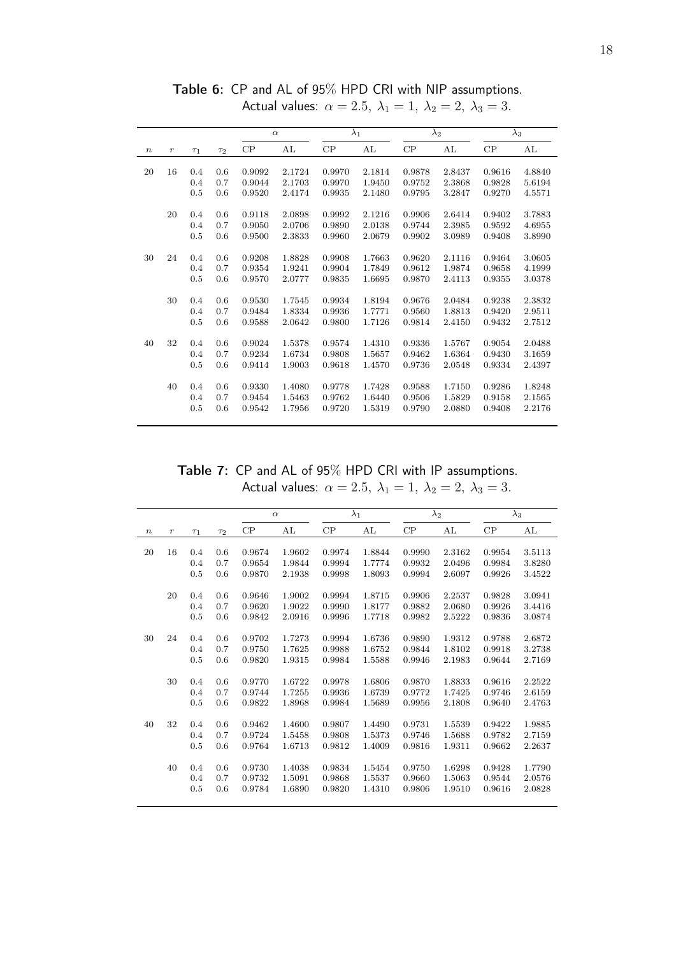|                  |         |                |          |          | $\alpha$ |          | $\lambda_1$ |        | $\lambda_2$ |        | $\lambda_3$ |
|------------------|---------|----------------|----------|----------|----------|----------|-------------|--------|-------------|--------|-------------|
| $\boldsymbol{n}$ | $\,r\,$ | T <sub>1</sub> | $\tau_2$ | $\rm CP$ | AL       | $\rm CP$ | AL          | CP     | AL          | CP     | AL          |
|                  |         |                |          |          |          |          |             |        |             |        |             |
| 20               | 16      | 0.4            | 0.6      | 0.9092   | 2.1724   | 0.9970   | 2.1814      | 0.9878 | 2.8437      | 0.9616 | 4.8840      |
|                  |         | 0.4            | 0.7      | 0.9044   | 2.1703   | 0.9970   | 1.9450      | 0.9752 | 2.3868      | 0.9828 | 5.6194      |
|                  |         | 0.5            | 0.6      | 0.9520   | 2.4174   | 0.9935   | 2.1480      | 0.9795 | 3.2847      | 0.9270 | 4.5571      |
|                  | 20      | 0.4            | 0.6      | 0.9118   | 2.0898   | 0.9992   | 2.1216      | 0.9906 | 2.6414      | 0.9402 | 3.7883      |
|                  |         | 0.4            | 0.7      | 0.9050   | 2.0706   | 0.9890   | 2.0138      | 0.9744 | 2.3985      | 0.9592 | 4.6955      |
|                  |         | 0.5            | 0.6      | 0.9500   | 2.3833   | 0.9960   | 2.0679      | 0.9902 | 3.0989      | 0.9408 | 3.8990      |
| 30               | 24      | 0.4            | 0.6      | 0.9208   | 1.8828   | 0.9908   | 1.7663      | 0.9620 | 2.1116      | 0.9464 | 3.0605      |
|                  |         | 0.4            | 0.7      | 0.9354   | 1.9241   | 0.9904   | 1.7849      | 0.9612 | 1.9874      | 0.9658 | 4.1999      |
|                  |         | 0.5            | 0.6      | 0.9570   | 2.0777   | 0.9835   | 1.6695      | 0.9870 | 2.4113      | 0.9355 | 3.0378      |
|                  |         |                |          |          |          |          |             |        |             |        |             |
|                  | 30      | 0.4            | 0.6      | 0.9530   | 1.7545   | 0.9934   | 1.8194      | 0.9676 | 2.0484      | 0.9238 | 2.3832      |
|                  |         | 0.4            | 0.7      | 0.9484   | 1.8334   | 0.9936   | 1.7771      | 0.9560 | 1.8813      | 0.9420 | 2.9511      |
|                  |         | 0.5            | 0.6      | 0.9588   | 2.0642   | 0.9800   | 1.7126      | 0.9814 | 2.4150      | 0.9432 | 2.7512      |
| 40               | 32      | 0.4            | 0.6      | 0.9024   | 1.5378   | 0.9574   | 1.4310      | 0.9336 | 1.5767      | 0.9054 | 2.0488      |
|                  |         | 0.4            | 0.7      | 0.9234   | 1.6734   | 0.9808   | 1.5657      | 0.9462 | 1.6364      | 0.9430 | 3.1659      |
|                  |         | 0.5            | 0.6      | 0.9414   | 1.9003   | 0.9618   | 1.4570      | 0.9736 | 2.0548      | 0.9334 | 2.4397      |
|                  |         |                |          |          |          |          |             |        |             |        |             |
|                  | 40      | 0.4            | 0.6      | 0.9330   | 1.4080   | 0.9778   | 1.7428      | 0.9588 | 1.7150      | 0.9286 | 1.8248      |
|                  |         | 0.4            | 0.7      | 0.9454   | 1.5463   | 0.9762   | 1.6440      | 0.9506 | 1.5829      | 0.9158 | 2.1565      |
|                  |         | 0.5            | 0.6      | 0.9542   | 1.7956   | 0.9720   | 1.5319      | 0.9790 | 2.0880      | 0.9408 | 2.2176      |

Table 6: CP and AL of 95% HPD CRI with NIP assumptions. Actual values:  $\alpha = 2.5, \ \lambda_1 = 1, \ \lambda_2 = 2, \ \lambda_3 = 3.$ 

Table 7: CP and AL of 95% HPD CRI with IP assumptions. Actual values:  $\alpha = 2.5$ ,  $\lambda_1 = 1$ ,  $\lambda_2 = 2$ ,  $\lambda_3 = 3$ .

|                  |         |          |          |        | $\alpha$ |        | $\lambda_1$ |        | $\lambda_2$ |        | $\overline{\lambda}_3$ |
|------------------|---------|----------|----------|--------|----------|--------|-------------|--------|-------------|--------|------------------------|
| $\boldsymbol{n}$ | $\,r\,$ | $\tau_1$ | $\tau_2$ | CP     | AL       | CP     | AL          | CP     | AL          | CP     | AL                     |
| 20               | 16      | 0.4      | 0.6      | 0.9674 | 1.9602   | 0.9974 | 1.8844      | 0.9990 | 2.3162      | 0.9954 | 3.5113                 |
|                  |         |          | 0.7      |        |          |        | 1.7774      |        |             |        |                        |
|                  |         | 0.4      |          | 0.9654 | 1.9844   | 0.9994 |             | 0.9932 | 2.0496      | 0.9984 | 3.8280                 |
|                  |         | 0.5      | 0.6      | 0.9870 | 2.1938   | 0.9998 | 1.8093      | 0.9994 | 2.6097      | 0.9926 | 3.4522                 |
|                  | 20      | 0.4      | 0.6      | 0.9646 | 1.9002   | 0.9994 | 1.8715      | 0.9906 | 2.2537      | 0.9828 | 3.0941                 |
|                  |         | 0.4      | 0.7      | 0.9620 | 1.9022   | 0.9990 | 1.8177      | 0.9882 | 2.0680      | 0.9926 | 3.4416                 |
|                  |         | 0.5      | 0.6      | 0.9842 | 2.0916   | 0.9996 | 1.7718      | 0.9982 | 2.5222      | 0.9836 | 3.0874                 |
| 30               | 24      | 0.4      | 0.6      | 0.9702 | 1.7273   | 0.9994 | 1.6736      | 0.9890 | 1.9312      | 0.9788 | 2.6872                 |
|                  |         | 0.4      | 0.7      | 0.9750 | 1.7625   | 0.9988 | 1.6752      | 0.9844 | 1.8102      | 0.9918 | 3.2738                 |
|                  |         |          | 0.6      |        |          |        |             |        |             |        |                        |
|                  |         | 0.5      |          | 0.9820 | 1.9315   | 0.9984 | 1.5588      | 0.9946 | 2.1983      | 0.9644 | 2.7169                 |
|                  | 30      | 0.4      | 0.6      | 0.9770 | 1.6722   | 0.9978 | 1.6806      | 0.9870 | 1.8833      | 0.9616 | 2.2522                 |
|                  |         | 0.4      | 0.7      | 0.9744 | 1.7255   | 0.9936 | 1.6739      | 0.9772 | 1.7425      | 0.9746 | 2.6159                 |
|                  |         | 0.5      | 0.6      | 0.9822 | 1.8968   | 0.9984 | 1.5689      | 0.9956 | 2.1808      | 0.9640 | 2.4763                 |
| 40               | 32      | 0.4      | 0.6      | 0.9462 | 1.4600   | 0.9807 | 1.4490      | 0.9731 | 1.5539      | 0.9422 | 1.9885                 |
|                  |         |          |          |        |          |        |             |        |             |        |                        |
|                  |         | 0.4      | 0.7      | 0.9724 | 1.5458   | 0.9808 | 1.5373      | 0.9746 | 1.5688      | 0.9782 | 2.7159                 |
|                  |         | 0.5      | 0.6      | 0.9764 | 1.6713   | 0.9812 | 1.4009      | 0.9816 | 1.9311      | 0.9662 | 2.2637                 |
|                  | 40      | 0.4      | 0.6      | 0.9730 | 1.4038   | 0.9834 | 1.5454      | 0.9750 | 1.6298      | 0.9428 | 1.7790                 |
|                  |         | 0.4      | 0.7      | 0.9732 | 1.5091   | 0.9868 | 1.5537      | 0.9660 | 1.5063      | 0.9544 | 2.0576                 |
|                  |         | 0.5      | 0.6      | 0.9784 | 1.6890   | 0.9820 | 1.4310      | 0.9806 | 1.9510      | 0.9616 | 2.0828                 |
|                  |         |          |          |        |          |        |             |        |             |        |                        |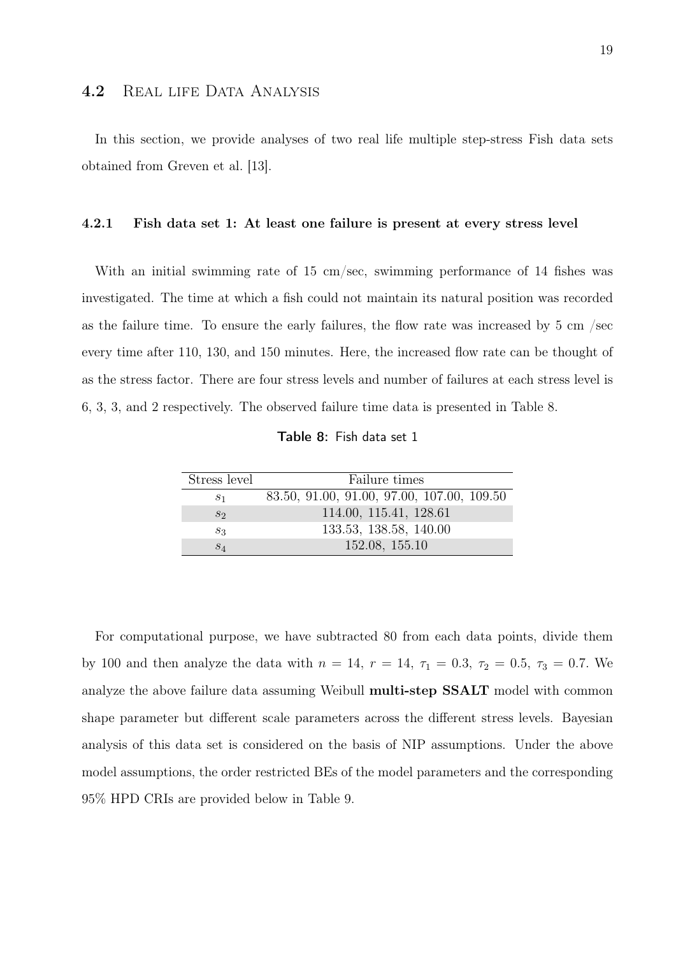#### 4.2 REAL LIFE DATA ANALYSIS

In this section, we provide analyses of two real life multiple step-stress Fish data sets obtained from Greven et al. [13].

#### 4.2.1 Fish data set 1: At least one failure is present at every stress level

With an initial swimming rate of 15 cm/sec, swimming performance of 14 fishes was investigated. The time at which a fish could not maintain its natural position was recorded as the failure time. To ensure the early failures, the flow rate was increased by 5 cm /sec every time after 110, 130, and 150 minutes. Here, the increased flow rate can be thought of as the stress factor. There are four stress levels and number of failures at each stress level is 6, 3, 3, and 2 respectively. The observed failure time data is presented in Table 8.

Table 8: Fish data set 1

| Stress level   | Failure times                              |
|----------------|--------------------------------------------|
| S <sub>1</sub> | 83.50, 91.00, 91.00, 97.00, 107.00, 109.50 |
| $S_2$          | 114.00, 115.41, 128.61                     |
| $S_3$          | 133.53, 138.58, 140.00                     |
| $S_4$          | 152.08, 155.10                             |

For computational purpose, we have subtracted 80 from each data points, divide them by 100 and then analyze the data with  $n = 14$ ,  $r = 14$ ,  $\tau_1 = 0.3$ ,  $\tau_2 = 0.5$ ,  $\tau_3 = 0.7$ . We analyze the above failure data assuming Weibull multi-step SSALT model with common shape parameter but different scale parameters across the different stress levels. Bayesian analysis of this data set is considered on the basis of NIP assumptions. Under the above model assumptions, the order restricted BEs of the model parameters and the corresponding 95% HPD CRIs are provided below in Table 9.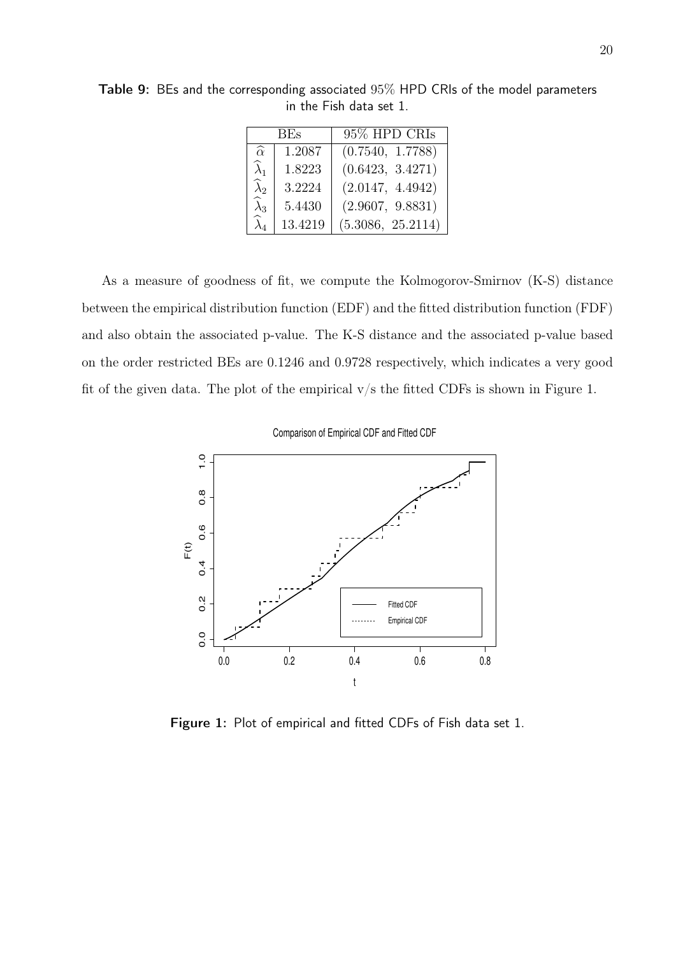|                       | BEs.    | 95% HPD CRIs      |
|-----------------------|---------|-------------------|
| $\widehat{\alpha}$    | 1.2087  | (0.7540, 1.7788)  |
| $\widehat{\lambda}_1$ | 1.8223  | (0.6423, 3.4271)  |
| $\widehat{\lambda}_2$ | 3.2224  | (2.0147, 4.4942)  |
| $\widehat{\lambda}_3$ | 5.4430  | (2.9607, 9.8831)  |
| $\widehat{\lambda}_4$ | 13.4219 | (5.3086, 25.2114) |

Table 9: BEs and the corresponding associated 95% HPD CRIs of the model parameters in the Fish data set 1.

As a measure of goodness of fit, we compute the Kolmogorov-Smirnov (K-S) distance between the empirical distribution function (EDF) and the fitted distribution function (FDF) and also obtain the associated p-value. The K-S distance and the associated p-value based on the order restricted BEs are 0.1246 and 0.9728 respectively, which indicates a very good fit of the given data. The plot of the empirical  $v/s$  the fitted CDFs is shown in Figure 1.

Comparison of Empirical CDF and Fitted CDF



Figure 1: Plot of empirical and fitted CDFs of Fish data set 1.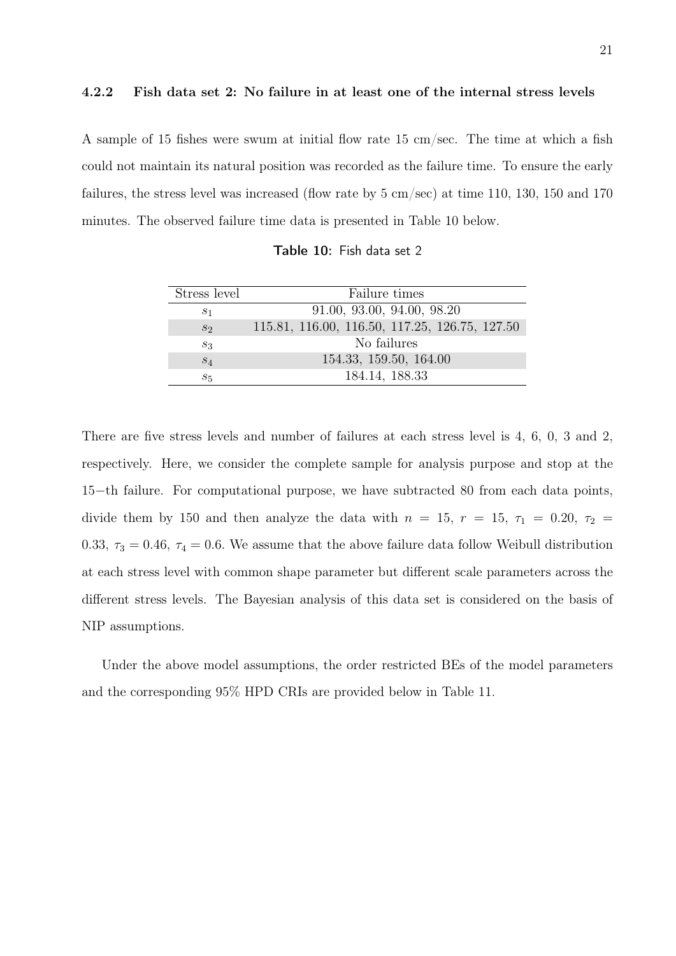#### 4.2.2 Fish data set 2: No failure in at least one of the internal stress levels

A sample of 15 fishes were swum at initial flow rate 15 cm/sec. The time at which a fish could not maintain its natural position was recorded as the failure time. To ensure the early failures, the stress level was increased (flow rate by 5 cm/sec) at time 110, 130, 150 and 170 minutes. The observed failure time data is presented in Table 10 below.

| Table 10: Fish data set 2 |
|---------------------------|
|---------------------------|

| Stress level | Failure times                                  |
|--------------|------------------------------------------------|
| $s_1$        | 91.00, 93.00, 94.00, 98.20                     |
| $S_2$        | 115.81, 116.00, 116.50, 117.25, 126.75, 127.50 |
| $S_3$        | No failures                                    |
| $S_4$        | 154.33, 159.50, 164.00                         |
| $s_{5}$      | 184.14, 188.33                                 |

There are five stress levels and number of failures at each stress level is 4, 6, 0, 3 and 2, respectively. Here, we consider the complete sample for analysis purpose and stop at the 15−th failure. For computational purpose, we have subtracted 80 from each data points, divide them by 150 and then analyze the data with  $n = 15$ ,  $r = 15$ ,  $\tau_1 = 0.20$ ,  $\tau_2 =$ 0.33,  $\tau_3 = 0.46$ ,  $\tau_4 = 0.6$ . We assume that the above failure data follow Weibull distribution at each stress level with common shape parameter but different scale parameters across the different stress levels. The Bayesian analysis of this data set is considered on the basis of NIP assumptions.

Under the above model assumptions, the order restricted BEs of the model parameters and the corresponding 95% HPD CRIs are provided below in Table 11.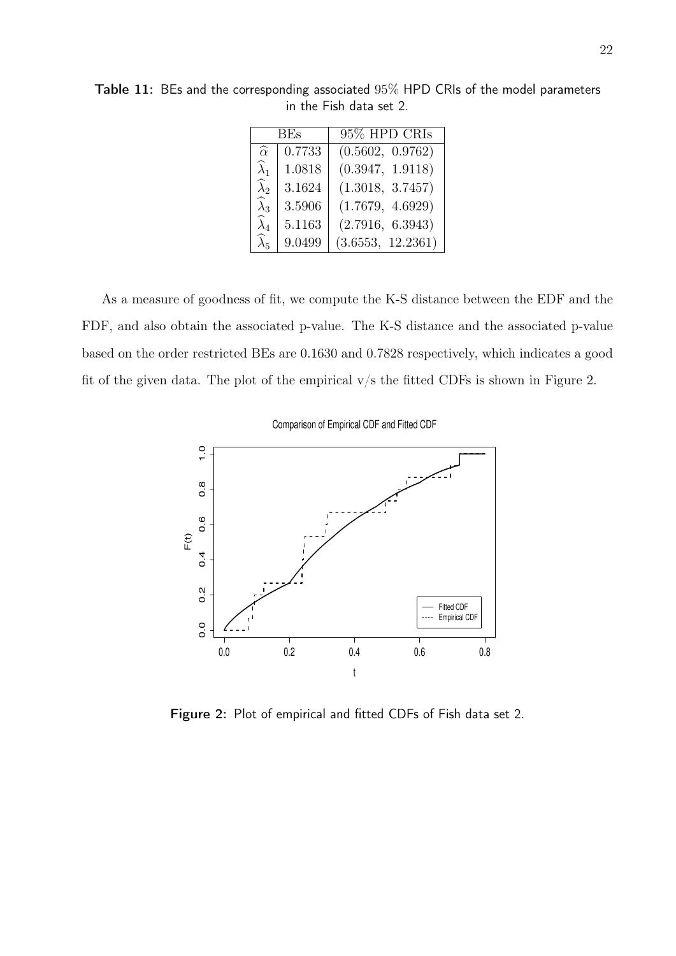|                       | BEs    | 95% HPD CRIs      |
|-----------------------|--------|-------------------|
| $\widehat{\alpha}$    | 0.7733 | (0.5602, 0.9762)  |
| $\widehat{\lambda}_1$ | 1.0818 | (0.3947, 1.9118)  |
| $\widehat{\lambda}_2$ | 3.1624 | (1.3018, 3.7457)  |
| $\widehat{\lambda}_3$ | 3.5906 | (1.7679, 4.6929)  |
| $\widehat{\lambda}_4$ | 5.1163 | (2.7916, 6.3943)  |
| $\widehat{\lambda}_5$ | 9.0499 | (3.6553, 12.2361) |

Table 11: BEs and the corresponding associated 95% HPD CRIs of the model parameters in the Fish data set 2.

As a measure of goodness of fit, we compute the K-S distance between the EDF and the FDF, and also obtain the associated p-value. The K-S distance and the associated p-value based on the order restricted BEs are 0.1630 and 0.7828 respectively, which indicates a good fit of the given data. The plot of the empirical  $v/s$  the fitted CDFs is shown in Figure 2.

Comparison of Empirical CDF and Fitted CDF



Figure 2: Plot of empirical and fitted CDFs of Fish data set 2.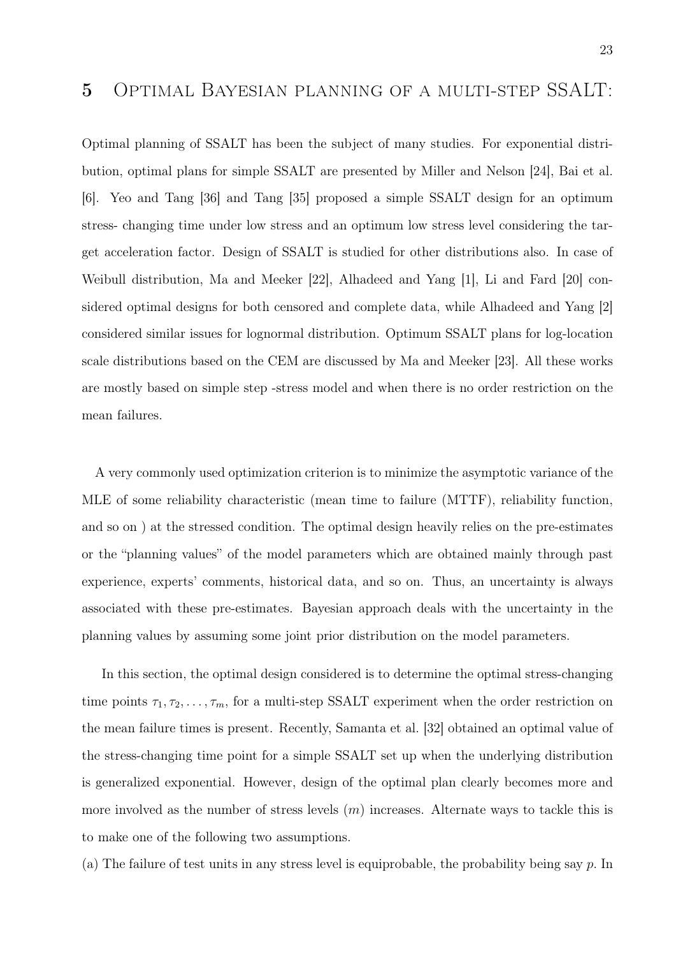Optimal planning of SSALT has been the subject of many studies. For exponential distribution, optimal plans for simple SSALT are presented by Miller and Nelson [24], Bai et al. [6]. Yeo and Tang [36] and Tang [35] proposed a simple SSALT design for an optimum stress- changing time under low stress and an optimum low stress level considering the target acceleration factor. Design of SSALT is studied for other distributions also. In case of Weibull distribution, Ma and Meeker [22], Alhadeed and Yang [1], Li and Fard [20] considered optimal designs for both censored and complete data, while Alhadeed and Yang [2] considered similar issues for lognormal distribution. Optimum SSALT plans for log-location scale distributions based on the CEM are discussed by Ma and Meeker [23]. All these works are mostly based on simple step -stress model and when there is no order restriction on the mean failures.

A very commonly used optimization criterion is to minimize the asymptotic variance of the MLE of some reliability characteristic (mean time to failure (MTTF), reliability function, and so on ) at the stressed condition. The optimal design heavily relies on the pre-estimates or the "planning values" of the model parameters which are obtained mainly through past experience, experts' comments, historical data, and so on. Thus, an uncertainty is always associated with these pre-estimates. Bayesian approach deals with the uncertainty in the planning values by assuming some joint prior distribution on the model parameters.

In this section, the optimal design considered is to determine the optimal stress-changing time points  $\tau_1, \tau_2, \ldots, \tau_m$ , for a multi-step SSALT experiment when the order restriction on the mean failure times is present. Recently, Samanta et al. [32] obtained an optimal value of the stress-changing time point for a simple SSALT set up when the underlying distribution is generalized exponential. However, design of the optimal plan clearly becomes more and more involved as the number of stress levels  $(m)$  increases. Alternate ways to tackle this is to make one of the following two assumptions.

(a) The failure of test units in any stress level is equiprobable, the probability being say  $p$ . In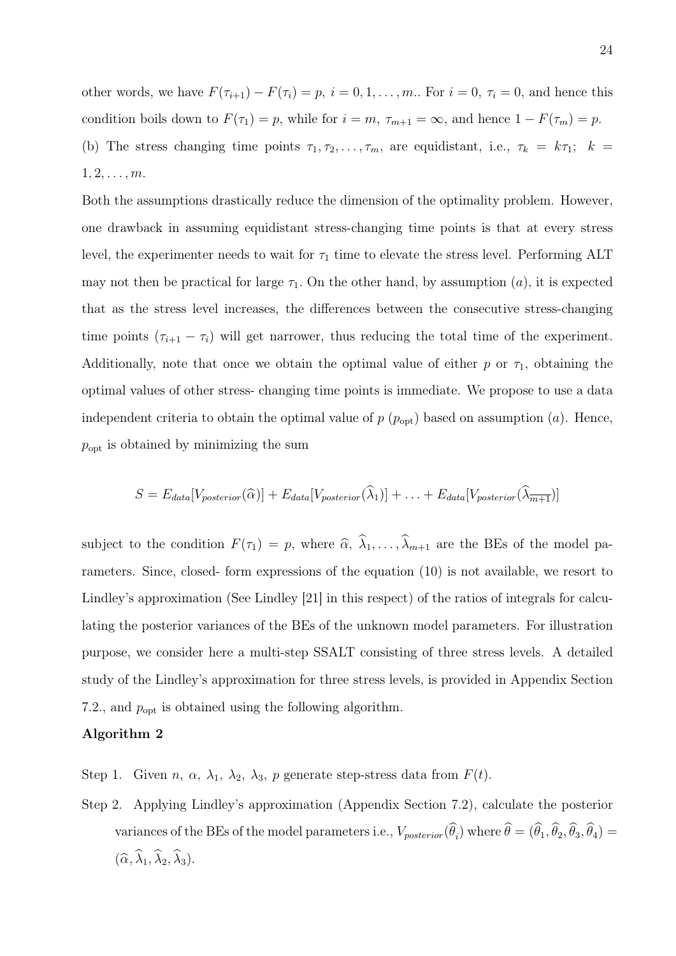other words, we have  $F(\tau_{i+1}) - F(\tau_i) = p$ ,  $i = 0, 1, ..., m$ . For  $i = 0, \tau_i = 0$ , and hence this condition boils down to  $F(\tau_1) = p$ , while for  $i = m$ ,  $\tau_{m+1} = \infty$ , and hence  $1 - F(\tau_m) = p$ . (b) The stress changing time points  $\tau_1, \tau_2, \ldots, \tau_m$ , are equidistant, i.e.,  $\tau_k = k\tau_1$ ;  $k =$  $1, 2, \ldots, m$ .

Both the assumptions drastically reduce the dimension of the optimality problem. However, one drawback in assuming equidistant stress-changing time points is that at every stress level, the experimenter needs to wait for  $\tau_1$  time to elevate the stress level. Performing ALT may not then be practical for large  $\tau_1$ . On the other hand, by assumption (a), it is expected that as the stress level increases, the differences between the consecutive stress-changing time points  $(\tau_{i+1} - \tau_i)$  will get narrower, thus reducing the total time of the experiment. Additionally, note that once we obtain the optimal value of either p or  $\tau_1$ , obtaining the optimal values of other stress- changing time points is immediate. We propose to use a data independent criteria to obtain the optimal value of  $p(p_{opt})$  based on assumption (*a*). Hence,  $p_{opt}$  is obtained by minimizing the sum

$$
S = E_{data}[V_{posterior}(\widehat{\alpha})] + E_{data}[V_{posterior}(\widehat{\lambda}_1)] + \ldots + E_{data}[V_{posterior}(\widehat{\lambda}_{m+1})]
$$

subject to the condition  $F(\tau_1) = p$ , where  $\hat{\alpha}, \hat{\lambda}_1, \dots, \hat{\lambda}_{m+1}$  are the BEs of the model parameters. Since, closed- form expressions of the equation (10) is not available, we resort to Lindley's approximation (See Lindley [21] in this respect) of the ratios of integrals for calculating the posterior variances of the BEs of the unknown model parameters. For illustration purpose, we consider here a multi-step SSALT consisting of three stress levels. A detailed study of the Lindley's approximation for three stress levels, is provided in Appendix Section 7.2., and  $p_{opt}$  is obtained using the following algorithm.

#### Algorithm 2

Step 1. Given n,  $\alpha$ ,  $\lambda_1$ ,  $\lambda_2$ ,  $\lambda_3$ , p generate step-stress data from  $F(t)$ .

Step 2. Applying Lindley's approximation (Appendix Section 7.2), calculate the posterior variances of the BEs of the model parameters i.e.,  $V_{posterior}(\theta_i)$  where  $\theta = (\theta_1, \theta_2, \theta_3, \theta_4)$  $(\widehat{\alpha}, \widehat{\lambda}_1, \widehat{\lambda}_2, \widehat{\lambda}_3).$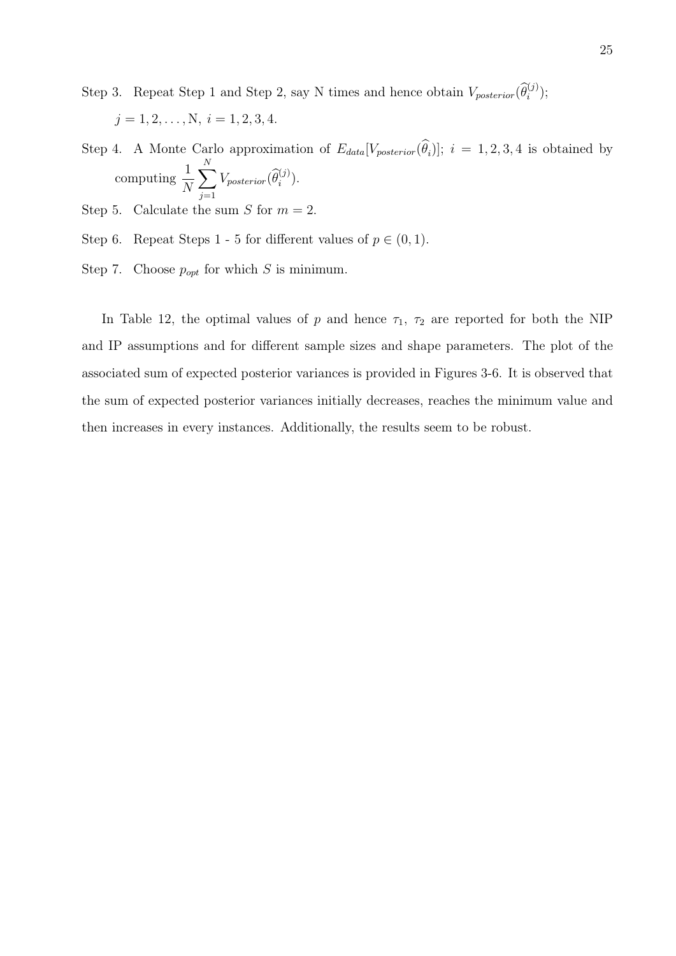Step 3. Repeat Step 1 and Step 2, say N times and hence obtain  $V_{posterior}(\hat{\theta}_{i}^{(j)})$ ;

$$
j = 1, 2, ..., N, i = 1, 2, 3, 4.
$$

- Step 4. A Monte Carlo approximation of  $E_{data}[V_{posterior}(\theta_i)]; i = 1, 2, 3, 4$  is obtained by computing 1 N  $\sum$ N  $\sum_{j=1}V_{posterior}(\widehat{\theta}_{i}^{(j)}).$
- Step 5. Calculate the sum  $S$  for  $m = 2$ .
- Step 6. Repeat Steps 1 5 for different values of  $p \in (0,1)$ .
- Step 7. Choose  $p_{opt}$  for which S is minimum.

In Table 12, the optimal values of p and hence  $\tau_1$ ,  $\tau_2$  are reported for both the NIP and IP assumptions and for different sample sizes and shape parameters. The plot of the associated sum of expected posterior variances is provided in Figures 3-6. It is observed that the sum of expected posterior variances initially decreases, reaches the minimum value and then increases in every instances. Additionally, the results seem to be robust.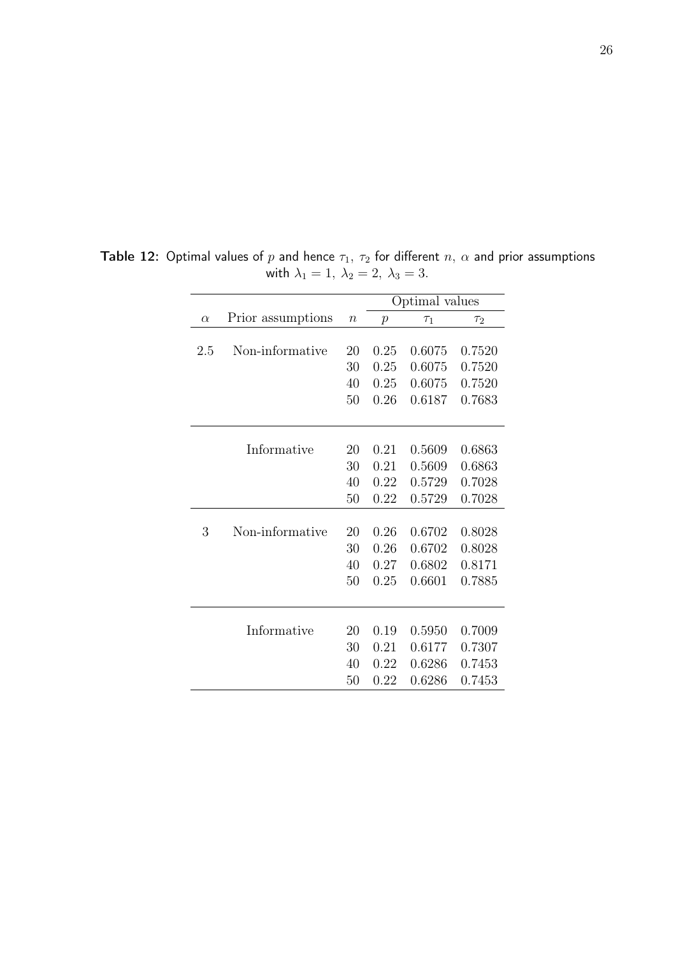|          |                   |                  | Optimal values   |          |                     |
|----------|-------------------|------------------|------------------|----------|---------------------|
| $\alpha$ | Prior assumptions | $\boldsymbol{n}$ | $\boldsymbol{p}$ | $\tau_1$ | $\tau$ <sub>2</sub> |
|          |                   |                  |                  |          |                     |
| 2.5      | Non-informative   | 20               | 0.25             | 0.6075   | 0.7520              |
|          |                   | 30               | 0.25             | 0.6075   | 0.7520              |
|          |                   | 40               | 0.25             | 0.6075   | 0.7520              |
|          |                   | 50               | 0.26             | 0.6187   | 0.7683              |
|          |                   |                  |                  |          |                     |
|          | Informative       | 20               | 0.21             | 0.5609   | 0.6863              |
|          |                   | 30               | 0.21             | 0.5609   | 0.6863              |
|          |                   | 40               | 0.22             | 0.5729   | 0.7028              |
|          |                   | 50               | 0.22             | 0.5729   | 0.7028              |
|          |                   |                  |                  |          |                     |
| 3        | Non-informative   | 20               | 0.26             | 0.6702   | 0.8028              |
|          |                   | 30               | 0.26             | 0.6702   | 0.8028              |
|          |                   | 40               | 0.27             | 0.6802   | 0.8171              |
|          |                   | 50               | 0.25             | 0.6601   | 0.7885              |
|          |                   |                  |                  |          |                     |
|          | Informative       | 20               | 0.19             | 0.5950   | 0.7009              |
|          |                   | 30               | 0.21             | 0.6177   | 0.7307              |
|          |                   | 40               | 0.22             | 0.6286   | 0.7453              |
|          |                   | 50               | 0.22             | 0.6286   | 0.7453              |

**Table 12:** Optimal values of  $p$  and hence  $\tau_1,\ \tau_2$  for different  $n,\ \alpha$  and prior assumptions with  $\lambda_1 = 1, \lambda_2 = 2, \lambda_3 = 3.$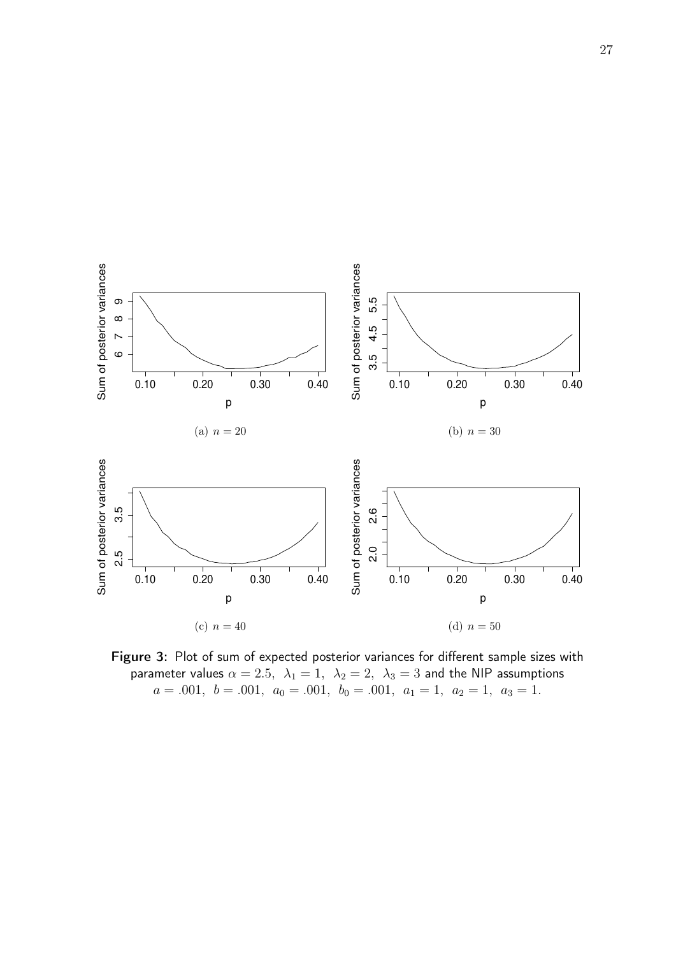

Figure 3: Plot of sum of expected posterior variances for different sample sizes with parameter values  $\alpha=2.5, \ \lambda_1=1, \ \lambda_2=2, \ \lambda_3=3$  and the NIP assumptions  $a = .001, b = .001, a_0 = .001, b_0 = .001, a_1 = 1, a_2 = 1, a_3 = 1.$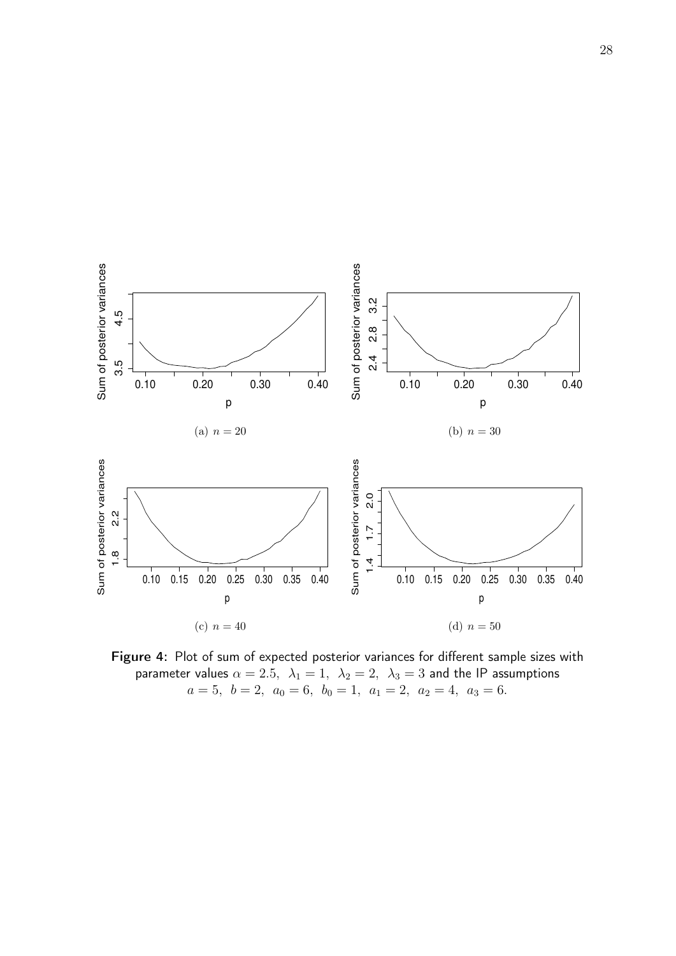

Figure 4: Plot of sum of expected posterior variances for different sample sizes with parameter values  $\alpha=2.5,~~\lambda_1=1,~~\lambda_2=2,~~\lambda_3=3$  and the IP assumptions  $a = 5, b = 2, a_0 = 6, b_0 = 1, a_1 = 2, a_2 = 4, a_3 = 6.$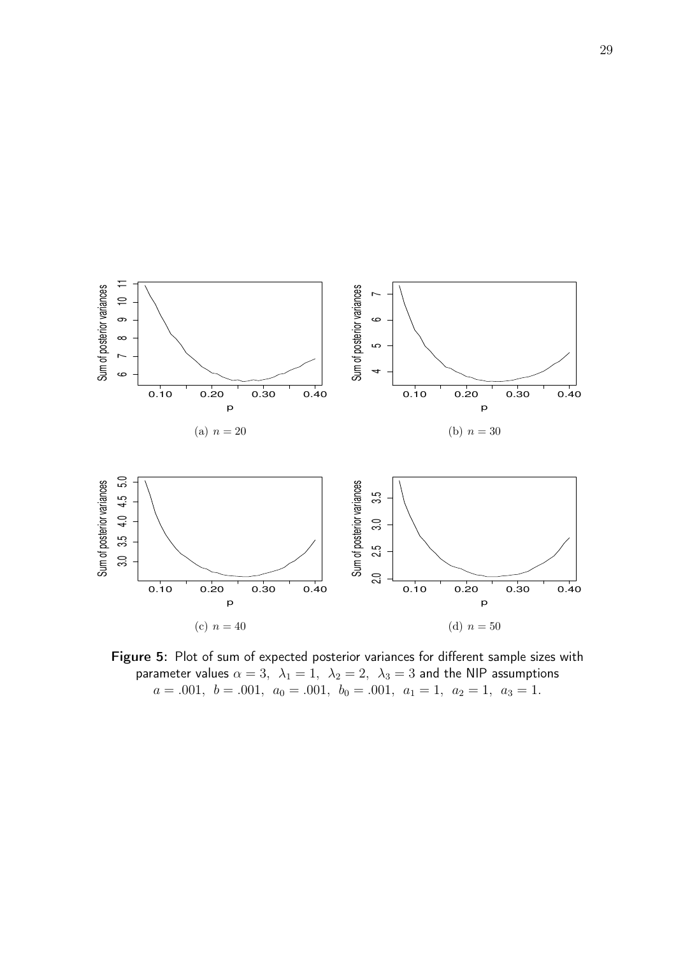

Figure 5: Plot of sum of expected posterior variances for different sample sizes with parameter values  $\alpha = 3$ ,  $\lambda_1 = 1$ ,  $\lambda_2 = 2$ ,  $\lambda_3 = 3$  and the NIP assumptions  $a = .001, b = .001, a_0 = .001, b_0 = .001, a_1 = 1, a_2 = 1, a_3 = 1.$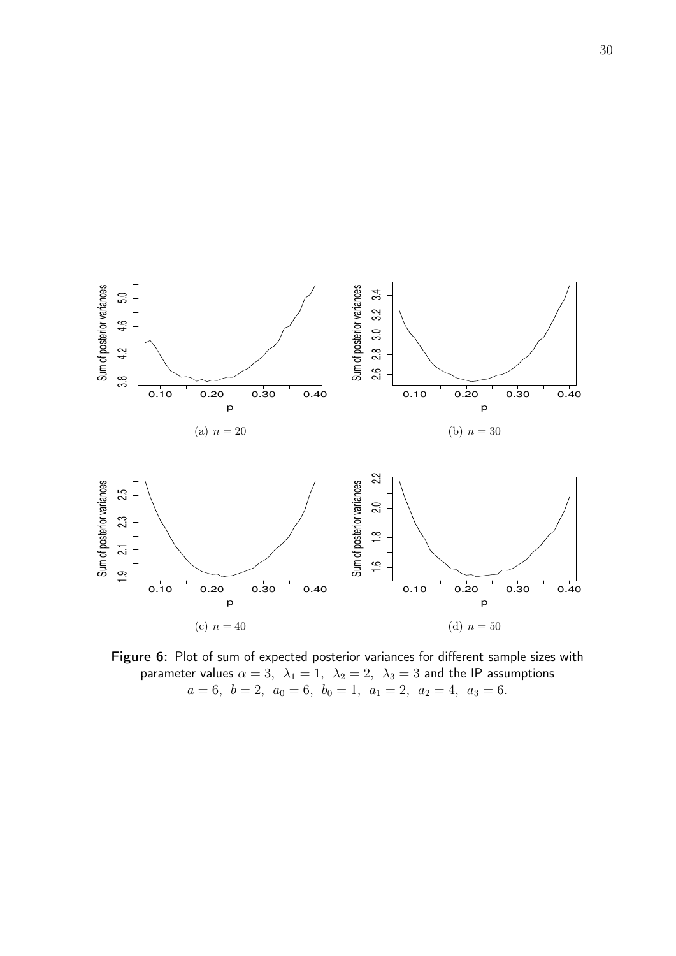

Figure 6: Plot of sum of expected posterior variances for different sample sizes with parameter values  $\alpha=3, \ \lambda_1=1, \ \lambda_2=2, \ \lambda_3=3$  and the IP assumptions  $a = 6, b = 2, a_0 = 6, b_0 = 1, a_1 = 2, a_2 = 4, a_3 = 6.$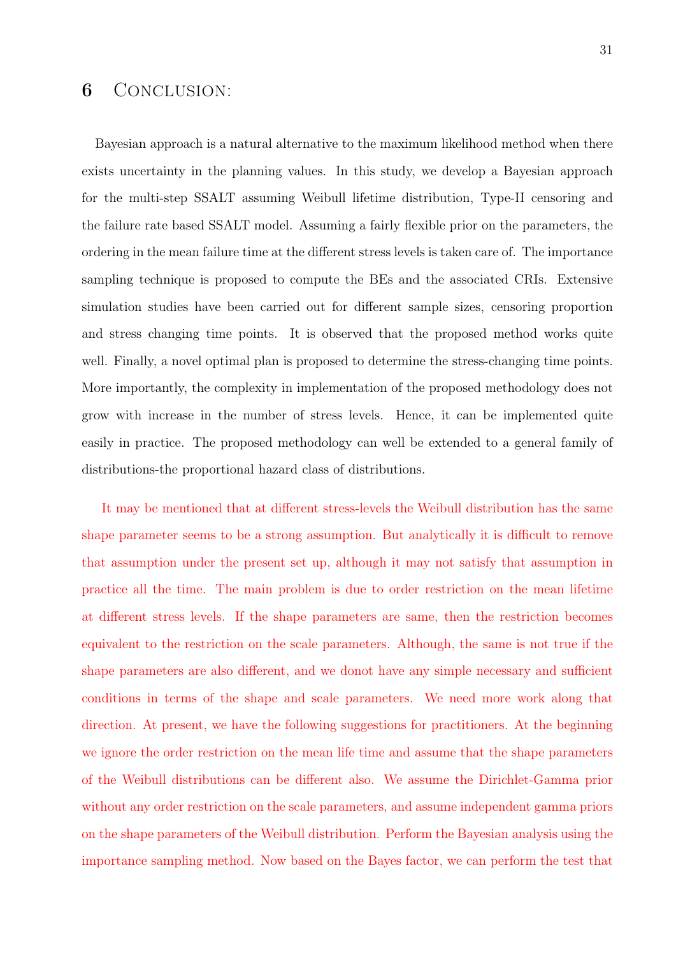# 6 Conclusion:

Bayesian approach is a natural alternative to the maximum likelihood method when there exists uncertainty in the planning values. In this study, we develop a Bayesian approach for the multi-step SSALT assuming Weibull lifetime distribution, Type-II censoring and the failure rate based SSALT model. Assuming a fairly flexible prior on the parameters, the ordering in the mean failure time at the different stress levels is taken care of. The importance sampling technique is proposed to compute the BEs and the associated CRIs. Extensive simulation studies have been carried out for different sample sizes, censoring proportion and stress changing time points. It is observed that the proposed method works quite well. Finally, a novel optimal plan is proposed to determine the stress-changing time points. More importantly, the complexity in implementation of the proposed methodology does not grow with increase in the number of stress levels. Hence, it can be implemented quite easily in practice. The proposed methodology can well be extended to a general family of distributions-the proportional hazard class of distributions.

It may be mentioned that at different stress-levels the Weibull distribution has the same shape parameter seems to be a strong assumption. But analytically it is difficult to remove that assumption under the present set up, although it may not satisfy that assumption in practice all the time. The main problem is due to order restriction on the mean lifetime at different stress levels. If the shape parameters are same, then the restriction becomes equivalent to the restriction on the scale parameters. Although, the same is not true if the shape parameters are also different, and we donot have any simple necessary and sufficient conditions in terms of the shape and scale parameters. We need more work along that direction. At present, we have the following suggestions for practitioners. At the beginning we ignore the order restriction on the mean life time and assume that the shape parameters of the Weibull distributions can be different also. We assume the Dirichlet-Gamma prior without any order restriction on the scale parameters, and assume independent gamma priors on the shape parameters of the Weibull distribution. Perform the Bayesian analysis using the importance sampling method. Now based on the Bayes factor, we can perform the test that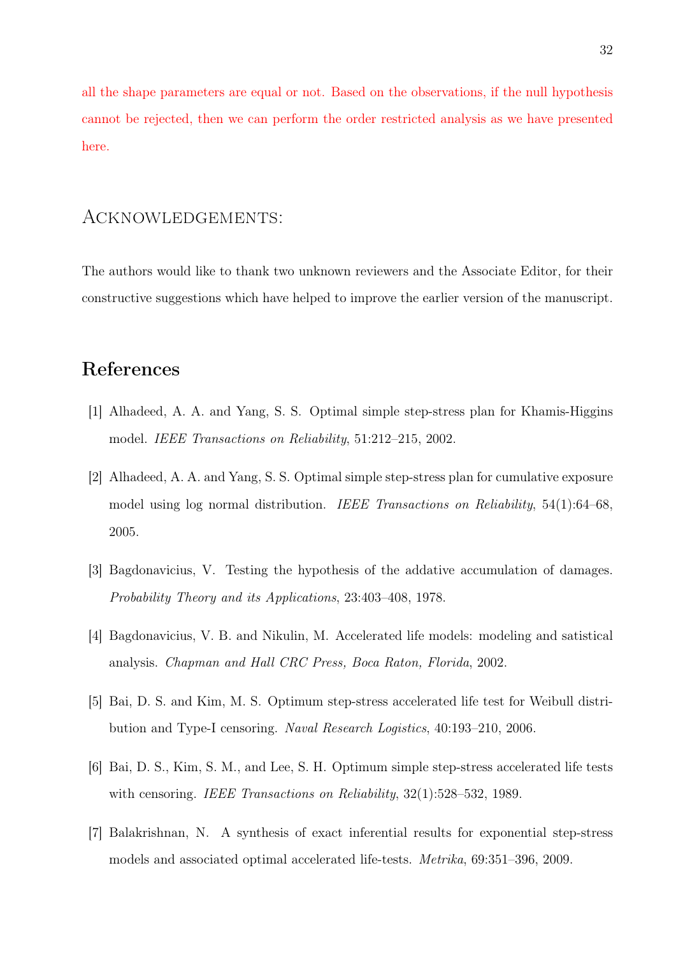all the shape parameters are equal or not. Based on the observations, if the null hypothesis cannot be rejected, then we can perform the order restricted analysis as we have presented here.

### Acknowledgements:

The authors would like to thank two unknown reviewers and the Associate Editor, for their constructive suggestions which have helped to improve the earlier version of the manuscript.

# References

- [1] Alhadeed, A. A. and Yang, S. S. Optimal simple step-stress plan for Khamis-Higgins model. IEEE Transactions on Reliability, 51:212–215, 2002.
- [2] Alhadeed, A. A. and Yang, S. S. Optimal simple step-stress plan for cumulative exposure model using log normal distribution. IEEE Transactions on Reliability, 54(1):64–68, 2005.
- [3] Bagdonavicius, V. Testing the hypothesis of the addative accumulation of damages. Probability Theory and its Applications, 23:403–408, 1978.
- [4] Bagdonavicius, V. B. and Nikulin, M. Accelerated life models: modeling and satistical analysis. Chapman and Hall CRC Press, Boca Raton, Florida, 2002.
- [5] Bai, D. S. and Kim, M. S. Optimum step-stress accelerated life test for Weibull distribution and Type-I censoring. Naval Research Logistics, 40:193–210, 2006.
- [6] Bai, D. S., Kim, S. M., and Lee, S. H. Optimum simple step-stress accelerated life tests with censoring. *IEEE Transactions on Reliability*,  $32(1)$ :528–532, 1989.
- [7] Balakrishnan, N. A synthesis of exact inferential results for exponential step-stress models and associated optimal accelerated life-tests. Metrika, 69:351–396, 2009.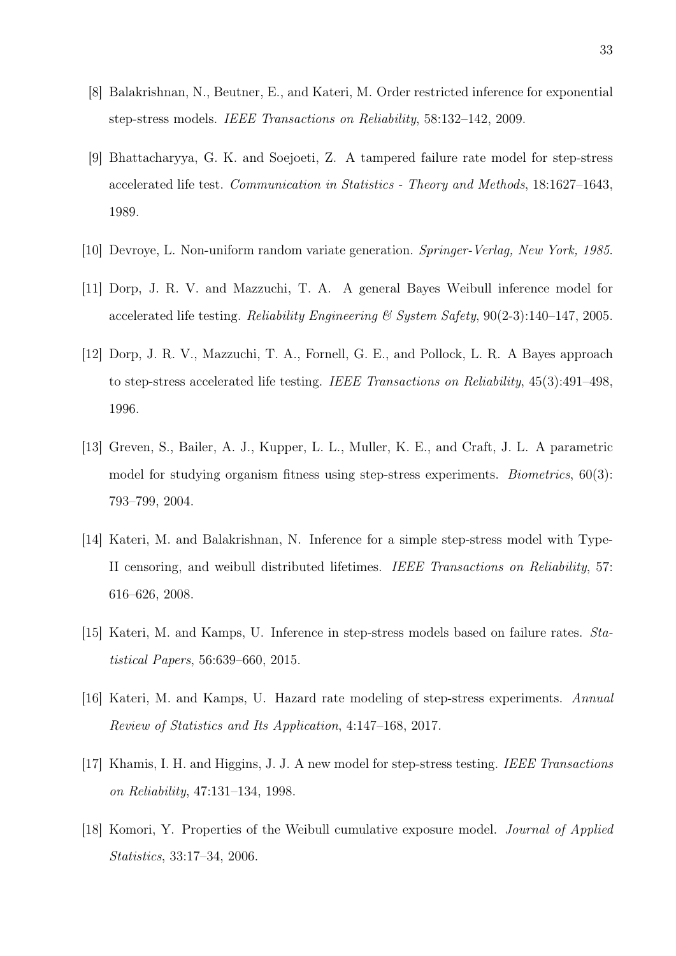- [8] Balakrishnan, N., Beutner, E., and Kateri, M. Order restricted inference for exponential step-stress models. IEEE Transactions on Reliability, 58:132–142, 2009.
- [9] Bhattacharyya, G. K. and Soejoeti, Z. A tampered failure rate model for step-stress accelerated life test. Communication in Statistics - Theory and Methods, 18:1627–1643, 1989.
- [10] Devroye, L. Non-uniform random variate generation. Springer-Verlag, New York, 1985.
- [11] Dorp, J. R. V. and Mazzuchi, T. A. A general Bayes Weibull inference model for accelerated life testing. Reliability Engineering & System Safety,  $90(2-3):140-147$ , 2005.
- [12] Dorp, J. R. V., Mazzuchi, T. A., Fornell, G. E., and Pollock, L. R. A Bayes approach to step-stress accelerated life testing. IEEE Transactions on Reliability, 45(3):491–498, 1996.
- [13] Greven, S., Bailer, A. J., Kupper, L. L., Muller, K. E., and Craft, J. L. A parametric model for studying organism fitness using step-stress experiments. Biometrics, 60(3): 793–799, 2004.
- [14] Kateri, M. and Balakrishnan, N. Inference for a simple step-stress model with Type-II censoring, and weibull distributed lifetimes. IEEE Transactions on Reliability, 57: 616–626, 2008.
- [15] Kateri, M. and Kamps, U. Inference in step-stress models based on failure rates. Statistical Papers, 56:639–660, 2015.
- [16] Kateri, M. and Kamps, U. Hazard rate modeling of step-stress experiments. Annual Review of Statistics and Its Application, 4:147–168, 2017.
- [17] Khamis, I. H. and Higgins, J. J. A new model for step-stress testing. IEEE Transactions on Reliability, 47:131–134, 1998.
- [18] Komori, Y. Properties of the Weibull cumulative exposure model. Journal of Applied Statistics, 33:17–34, 2006.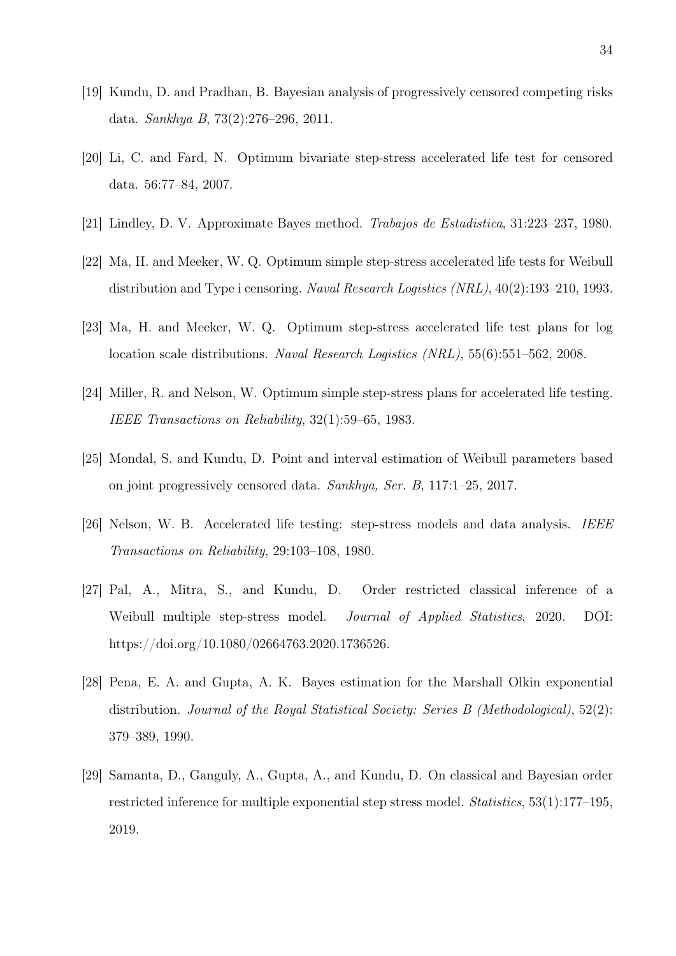- [19] Kundu, D. and Pradhan, B. Bayesian analysis of progressively censored competing risks data. Sankhya B, 73(2):276–296, 2011.
- [20] Li, C. and Fard, N. Optimum bivariate step-stress accelerated life test for censored data. 56:77–84, 2007.
- [21] Lindley, D. V. Approximate Bayes method. Trabajos de Estadistica, 31:223–237, 1980.
- [22] Ma, H. and Meeker, W. Q. Optimum simple step-stress accelerated life tests for Weibull distribution and Type i censoring. Naval Research Logistics (NRL), 40(2):193–210, 1993.
- [23] Ma, H. and Meeker, W. Q. Optimum step-stress accelerated life test plans for log location scale distributions. Naval Research Logistics (NRL), 55(6):551–562, 2008.
- [24] Miller, R. and Nelson, W. Optimum simple step-stress plans for accelerated life testing. IEEE Transactions on Reliability, 32(1):59–65, 1983.
- [25] Mondal, S. and Kundu, D. Point and interval estimation of Weibull parameters based on joint progressively censored data. Sankhya, Ser. B, 117:1–25, 2017.
- [26] Nelson, W. B. Accelerated life testing: step-stress models and data analysis. IEEE Transactions on Reliability, 29:103–108, 1980.
- [27] Pal, A., Mitra, S., and Kundu, D. Order restricted classical inference of a Weibull multiple step-stress model. Journal of Applied Statistics, 2020. DOI: https://doi.org/10.1080/02664763.2020.1736526.
- [28] Pena, E. A. and Gupta, A. K. Bayes estimation for the Marshall Olkin exponential distribution. Journal of the Royal Statistical Society: Series B (Methodological), 52(2): 379–389, 1990.
- [29] Samanta, D., Ganguly, A., Gupta, A., and Kundu, D. On classical and Bayesian order restricted inference for multiple exponential step stress model. Statistics, 53(1):177–195, 2019.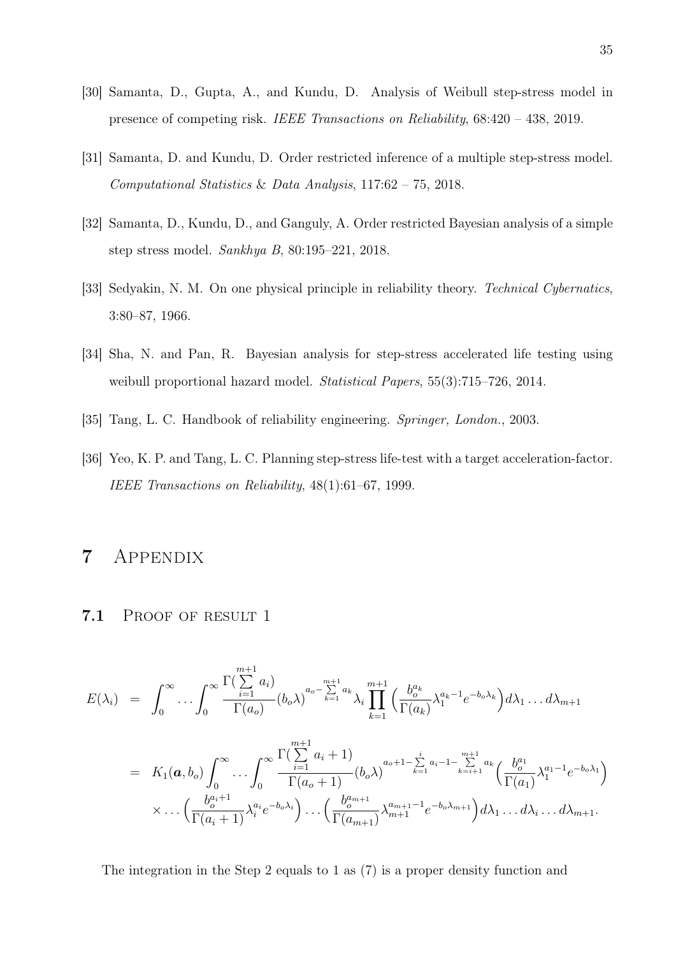- [30] Samanta, D., Gupta, A., and Kundu, D. Analysis of Weibull step-stress model in presence of competing risk. IEEE Transactions on Reliability, 68:420 – 438, 2019.
- [31] Samanta, D. and Kundu, D. Order restricted inference of a multiple step-stress model. Computational Statistics & Data Analysis, 117:62 – 75, 2018.
- [32] Samanta, D., Kundu, D., and Ganguly, A. Order restricted Bayesian analysis of a simple step stress model. Sankhya B, 80:195–221, 2018.
- [33] Sedyakin, N. M. On one physical principle in reliability theory. Technical Cybernatics, 3:80–87, 1966.
- [34] Sha, N. and Pan, R. Bayesian analysis for step-stress accelerated life testing using weibull proportional hazard model. *Statistical Papers*, 55(3):715–726, 2014.
- [35] Tang, L. C. Handbook of reliability engineering. Springer, London., 2003.
- [36] Yeo, K. P. and Tang, L. C. Planning step-stress life-test with a target acceleration-factor. IEEE Transactions on Reliability, 48(1):61–67, 1999.

# 7 Appendix

### 7.1 PROOF OF RESULT 1

$$
E(\lambda_i) = \int_0^\infty \dots \int_0^\infty \frac{\Gamma(\sum_{i=1}^{m+1} a_i)}{\Gamma(a_o)} (b_o \lambda)^{a_o - \sum_{k=1}^{m+1} a_k} \lambda_i \prod_{k=1}^{m+1} \left( \frac{b_o^{a_k}}{\Gamma(a_k)} \lambda_1^{a_k - 1} e^{-b_o \lambda_k} \right) d\lambda_1 \dots d\lambda_{m+1}
$$
  
\n
$$
= K_1(a, b_o) \int_0^\infty \dots \int_0^\infty \frac{\Gamma(\sum_{i=1}^{m+1} a_i + 1)}{\Gamma(a_o + 1)} (b_o \lambda)^{a_o + 1 - \sum_{k=1}^i a_i - 1 - \sum_{k=i+1}^{m+1} a_k} \left( \frac{b_o^{a_1}}{\Gamma(a_1)} \lambda_1^{a_1 - 1} e^{-b_o \lambda_1} \right) \times \dots \left( \frac{b_o^{a_i + 1}}{\Gamma(a_i + 1)} \lambda_i^{a_i} e^{-b_o \lambda_i} \right) \dots \left( \frac{b_o^{a_{m+1}}}{\Gamma(a_{m+1})} \lambda_{m+1}^{a_{m+1} - 1} e^{-b_o \lambda_{m+1}} \right) d\lambda_1 \dots d\lambda_i \dots d\lambda_{m+1}.
$$

The integration in the Step 2 equals to 1 as (7) is a proper density function and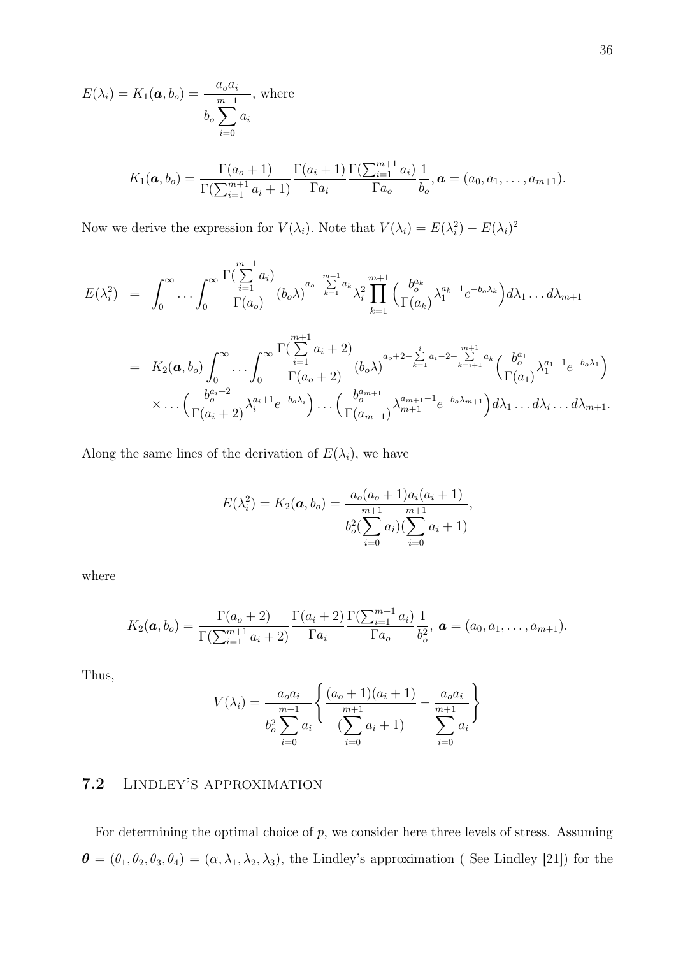$$
E(\lambda_i) = K_1(\boldsymbol{a}, b_o) = \frac{a_o a_i}{\sum_{i=0}^{m+1} a_i}
$$
, where  

$$
b_o \sum_{i=0}^{m+1} a_i
$$

$$
K_1(\boldsymbol{a}, b_o) = \frac{\Gamma(a_o + 1)}{\Gamma(\sum_{i=1}^{m+1} a_i + 1)} \frac{\Gamma(a_i + 1)}{\Gamma a_i} \frac{\Gamma(\sum_{i=1}^{m+1} a_i)}{\Gamma a_o} \frac{1}{b_o}, \boldsymbol{a} = (a_0, a_1, \dots, a_{m+1}).
$$

Now we derive the expression for  $V(\lambda_i)$ . Note that  $V(\lambda_i) = E(\lambda_i^2) - E(\lambda_i)^2$ 

$$
E(\lambda_i^2) = \int_0^\infty \dots \int_0^\infty \frac{\Gamma(\sum_{i=1}^{m+1} a_i)}{\Gamma(a_o)} (b_o \lambda)^{a_o - \sum_{k=1}^{m+1} a_k} \lambda_i^2 \prod_{k=1}^{m+1} \left( \frac{b_o^{a_k}}{\Gamma(a_k)} \lambda_1^{a_k - 1} e^{-b_o \lambda_k} \right) d\lambda_1 \dots d\lambda_{m+1}
$$
  
\n
$$
= K_2(\boldsymbol{a}, b_o) \int_0^\infty \dots \int_0^\infty \frac{\Gamma(\sum_{i=1}^{m+1} a_i + 2)}{\Gamma(a_o + 2)} (b_o \lambda)^{a_o + 2 - \sum_{k=1}^i a_i - 2 - \sum_{k=i+1}^{m+1} a_k} \left( \frac{b_o^{a_1}}{\Gamma(a_1)} \lambda_1^{a_1 - 1} e^{-b_o \lambda_1} \right) \times \dots \left( \frac{b_o^{a_i + 2}}{\Gamma(a_i + 2)} \lambda_i^{a_i + 1} e^{-b_o \lambda_i} \right) \dots \left( \frac{b_o^{a_{m+1}}}{\Gamma(a_{m+1})} \lambda_{m+1}^{a_{m+1} - 1} e^{-b_o \lambda_{m+1}} \right) d\lambda_1 \dots d\lambda_i \dots d\lambda_{m+1}.
$$

Along the same lines of the derivation of  $E(\lambda_i)$ , we have

$$
E(\lambda_i^2) = K_2(\boldsymbol{a}, b_o) = \frac{a_o(a_o + 1)a_i(a_i + 1)}{m+1} \frac{m+1}{m+1},
$$
  

$$
b_o^2(\sum_{i=0}^{m+1} a_i)(\sum_{i=0}^{m+1} a_i + 1)
$$

where

$$
K_2(\boldsymbol{a},b_o) = \frac{\Gamma(a_o+2)}{\Gamma(\sum_{i=1}^{m+1} a_i + 2)} \frac{\Gamma(a_i+2)}{\Gamma a_i} \frac{\Gamma(\sum_{i=1}^{m+1} a_i)}{\Gamma a_o} \frac{1}{b_o^2}, \; \boldsymbol{a} = (a_0,a_1,\ldots,a_{m+1}).
$$

Thus,

$$
V(\lambda_i) = \frac{a_o a_i}{b_o^2 \sum_{i=0}^{m+1} a_i} \left\{ \frac{(a_o + 1)(a_i + 1)}{\sum_{i=0}^{m+1} a_i + 1} - \frac{a_o a_i}{\sum_{i=0}^{m+1} a_i} \right\}
$$

# 7.2 Lindley's approximation

For determining the optimal choice of  $p$ , we consider here three levels of stress. Assuming  $\boldsymbol{\theta} = (\theta_1, \theta_2, \theta_3, \theta_4) = (\alpha, \lambda_1, \lambda_2, \lambda_3)$ , the Lindley's approximation (See Lindley [21]) for the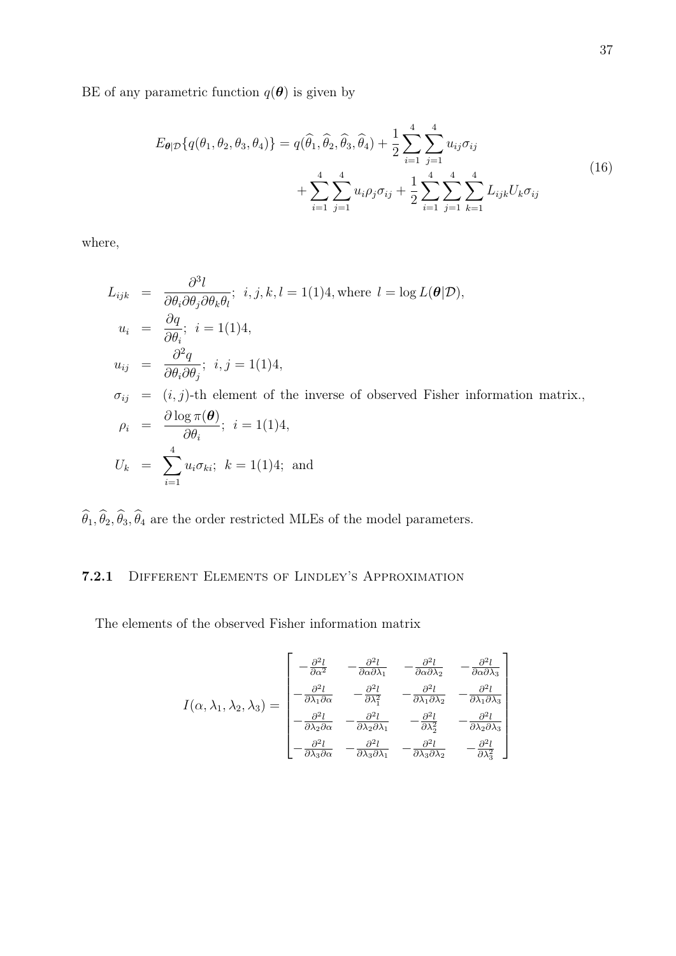BE of any parametric function  $q(\boldsymbol{\theta})$  is given by

$$
E_{\theta|\mathcal{D}}\{q(\theta_1, \theta_2, \theta_3, \theta_4)\} = q(\widehat{\theta}_1, \widehat{\theta}_2, \widehat{\theta}_3, \widehat{\theta}_4) + \frac{1}{2} \sum_{i=1}^4 \sum_{j=1}^4 u_{ij} \sigma_{ij} + \sum_{i=1}^4 \sum_{j=1}^4 u_{ij} \rho_j \sigma_{ij} + \frac{1}{2} \sum_{i=1}^4 \sum_{j=1}^4 \sum_{k=1}^4 \sum_{j=1}^4 L_{ijk} U_k \sigma_{ij}
$$
\n(16)

where,

$$
L_{ijk} = \frac{\partial^3 l}{\partial \theta_i \partial \theta_j \partial \theta_k \theta_l}; \ i, j, k, l = 1(1)4, \text{ where } l = \log L(\theta | \mathcal{D}),
$$
  
\n
$$
u_i = \frac{\partial q}{\partial \theta_i}; \ i = 1(1)4,
$$
  
\n
$$
u_{ij} = \frac{\partial^2 q}{\partial \theta_i \partial \theta_j}; \ i, j = 1(1)4,
$$
  
\n
$$
\sigma_{ij} = (i, j)\text{-th element of the inverse of observed Fisher information matrix,}
$$
  
\n
$$
\rho_i = \frac{\partial \log \pi(\theta)}{\partial \theta_i}; \ i = 1(1)4,
$$
  
\n
$$
U_k = \sum_{i=1}^4 u_i \sigma_{ki}; \ k = 1(1)4; \text{ and}
$$

 $\widehat\theta_1,\widehat\theta_2,\widehat\theta_3,\widehat\theta_4$  are the order restricted MLEs of the model parameters.

### 7.2.1 Different Elements of Lindley's Approximation

The elements of the observed Fisher information matrix

$$
I(\alpha, \lambda_1, \lambda_2, \lambda_3) = \begin{bmatrix} -\frac{\partial^2 l}{\partial \alpha^2} & -\frac{\partial^2 l}{\partial \alpha \partial \lambda_1} & -\frac{\partial^2 l}{\partial \alpha \partial \lambda_2} & -\frac{\partial^2 l}{\partial \alpha \partial \lambda_3} \\ -\frac{\partial^2 l}{\partial \lambda_1 \partial \alpha} & -\frac{\partial^2 l}{\partial \lambda_1^2} & -\frac{\partial^2 l}{\partial \lambda_1 \partial \lambda_2} & -\frac{\partial^2 l}{\partial \lambda_1 \partial \lambda_3} \\ -\frac{\partial^2 l}{\partial \lambda_2 \partial \alpha} & -\frac{\partial^2 l}{\partial \lambda_2 \partial \lambda_1} & -\frac{\partial^2 l}{\partial \lambda_2^2} & -\frac{\partial^2 l}{\partial \lambda_2 \partial \lambda_3} \\ -\frac{\partial^2 l}{\partial \lambda_3 \partial \alpha} & -\frac{\partial^2 l}{\partial \lambda_3 \partial \lambda_1} & -\frac{\partial^2 l}{\partial \lambda_3 \partial \lambda_2} & -\frac{\partial^2 l}{\partial \lambda_3^2} \end{bmatrix}
$$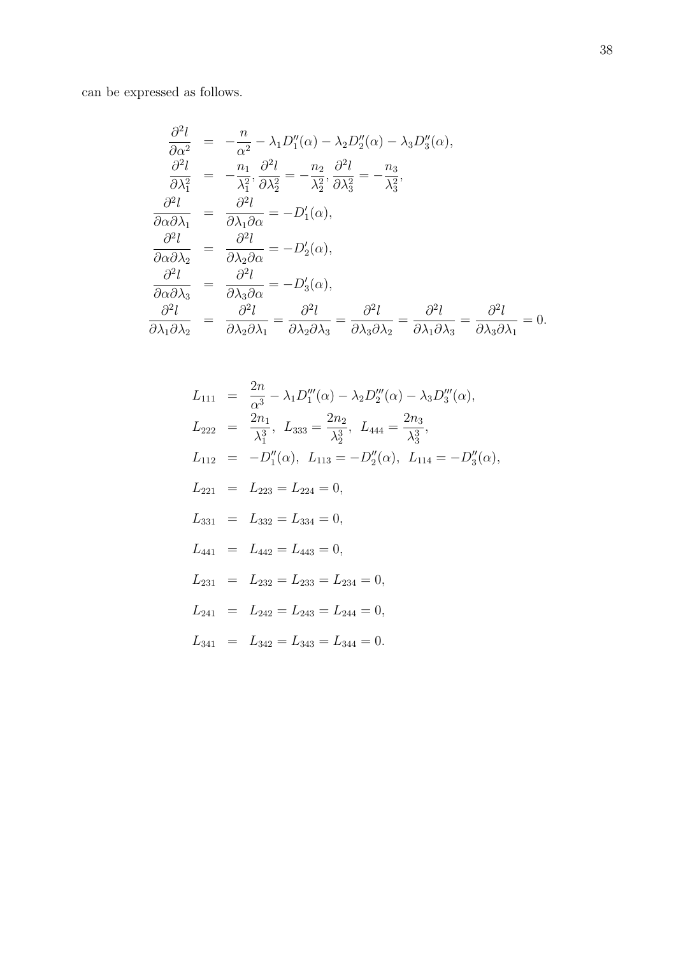can be expressed as follows.

$$
\frac{\partial^2 l}{\partial \alpha^2} = -\frac{n}{\alpha^2} - \lambda_1 D_1''(\alpha) - \lambda_2 D_2''(\alpha) - \lambda_3 D_3''(\alpha),
$$
  
\n
$$
\frac{\partial^2 l}{\partial \lambda_1^2} = -\frac{n_1}{\lambda_1^2}, \frac{\partial^2 l}{\partial \lambda_2^2} = -\frac{n_2}{\lambda_2^2}, \frac{\partial^2 l}{\partial \lambda_3^2} = -\frac{n_3}{\lambda_3^2},
$$
  
\n
$$
\frac{\partial^2 l}{\partial \alpha \partial \lambda_1} = \frac{\partial^2 l}{\partial \lambda_1 \partial \alpha} = -D_1'(\alpha),
$$
  
\n
$$
\frac{\partial^2 l}{\partial \alpha \partial \lambda_2} = \frac{\partial^2 l}{\partial \lambda_2 \partial \alpha} = -D_2'(\alpha),
$$
  
\n
$$
\frac{\partial^2 l}{\partial \alpha \partial \lambda_3} = \frac{\partial^2 l}{\partial \lambda_3 \partial \alpha} = -D_3'(\alpha),
$$
  
\n
$$
\frac{\partial^2 l}{\partial \lambda_1 \partial \lambda_2} = \frac{\partial^2 l}{\partial \lambda_2 \partial \lambda_1} = \frac{\partial^2 l}{\partial \lambda_2 \partial \lambda_3} = \frac{\partial^2 l}{\partial \lambda_3 \partial \lambda_2} = \frac{\partial^2 l}{\partial \lambda_1 \partial \lambda_3} = \frac{\partial^2 l}{\partial \lambda_3 \partial \lambda_1} = 0.
$$

$$
L_{111} = \frac{2n}{\alpha^3} - \lambda_1 D_1'''(\alpha) - \lambda_2 D_2'''(\alpha) - \lambda_3 D_3'''(\alpha),
$$
  
\n
$$
L_{222} = \frac{2n_1}{\lambda_1^3}, L_{333} = \frac{2n_2}{\lambda_2^3}, L_{444} = \frac{2n_3}{\lambda_3^3},
$$
  
\n
$$
L_{112} = -D_1''(\alpha), L_{113} = -D_2''(\alpha), L_{114} = -D_3''(\alpha),
$$
  
\n
$$
L_{221} = L_{223} = L_{224} = 0,
$$
  
\n
$$
L_{331} = L_{332} = L_{334} = 0,
$$
  
\n
$$
L_{441} = L_{442} = L_{443} = 0,
$$
  
\n
$$
L_{231} = L_{232} = L_{233} = L_{234} = 0,
$$
  
\n
$$
L_{241} = L_{242} = L_{243} = L_{244} = 0,
$$
  
\n
$$
L_{341} = L_{342} = L_{343} = L_{344} = 0.
$$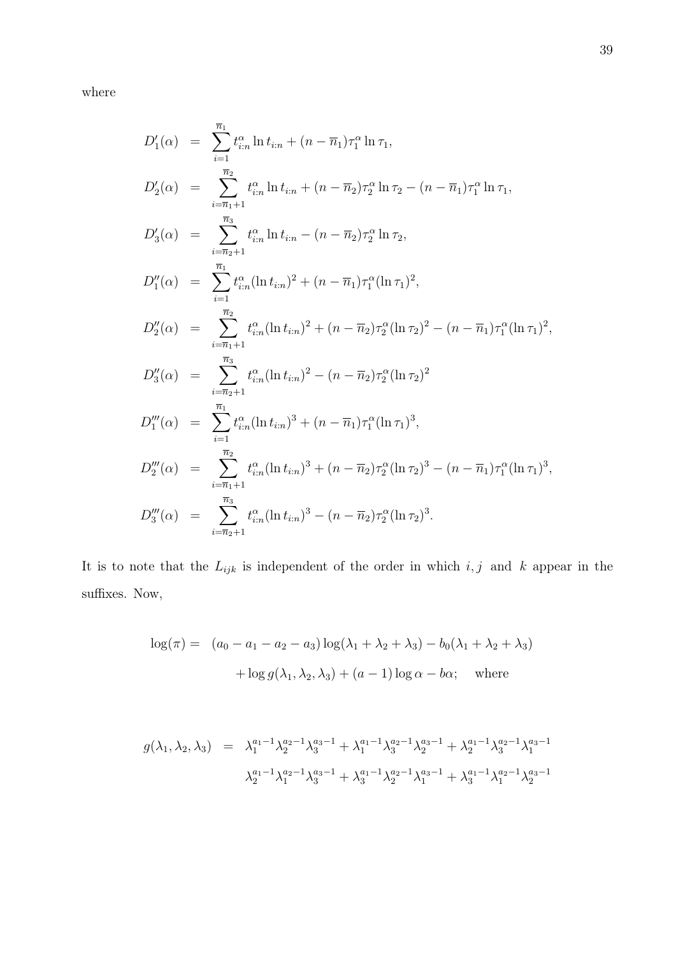where

$$
D'_{1}(\alpha) = \sum_{i=1}^{\overline{n}_{1}} t_{i:n}^{\alpha} \ln t_{i:n} + (n - \overline{n}_{1}) \tau_{1}^{\alpha} \ln \tau_{1},
$$
  
\n
$$
D'_{2}(\alpha) = \sum_{i=\overline{n}_{1}+1}^{\overline{n}_{2}} t_{i:n}^{\alpha} \ln t_{i:n} + (n - \overline{n}_{2}) \tau_{2}^{\alpha} \ln \tau_{2} - (n - \overline{n}_{1}) \tau_{1}^{\alpha} \ln \tau_{1},
$$
  
\n
$$
D'_{3}(\alpha) = \sum_{i=\overline{n}_{2}+1}^{\overline{n}_{3}} t_{i:n}^{\alpha} \ln t_{i:n} - (n - \overline{n}_{2}) \tau_{2}^{\alpha} \ln \tau_{2},
$$
  
\n
$$
D''_{1}(\alpha) = \sum_{i=1}^{\overline{n}_{1}} t_{i:n}^{\alpha} (\ln t_{i:n})^{2} + (n - \overline{n}_{1}) \tau_{1}^{\alpha} (\ln \tau_{1})^{2},
$$
  
\n
$$
D''_{2}(\alpha) = \sum_{i=\overline{n}_{1}+1}^{\overline{n}_{2}} t_{i:n}^{\alpha} (\ln t_{i:n})^{2} + (n - \overline{n}_{2}) \tau_{2}^{\alpha} (\ln \tau_{2})^{2} - (n - \overline{n}_{1}) \tau_{1}^{\alpha} (\ln \tau_{1})^{2},
$$
  
\n
$$
D''_{3}(\alpha) = \sum_{i=\overline{n}_{2}+1}^{\overline{n}_{3}} t_{i:n}^{\alpha} (\ln t_{i:n})^{2} - (n - \overline{n}_{2}) \tau_{2}^{\alpha} (\ln \tau_{2})^{2}
$$
  
\n
$$
D'''_{1}(\alpha) = \sum_{i=1}^{\overline{n}_{1}} t_{i:n}^{\alpha} (\ln t_{i:n})^{3} + (n - \overline{n}_{1}) \tau_{1}^{\alpha} (\ln \tau_{1})^{3},
$$
  
\n
$$
D'''_{2}(\alpha) = \sum_{i=\overline{n}_{1}+1}^{\overline{n}_{2}} t_{i:n}^{\alpha} (\ln t_{i:n})^{3} + (n - \overline{n}_{2}) \tau_{2}^{\alpha} (\ln \tau_{2})^{3} - (n - \overline{n}_{1}) \tau_{1}^{\
$$

It is to note that the  $L_{ijk}$  is independent of the order in which  $i, j$  and k appear in the suffixes. Now,

$$
\log(\pi) = (a_0 - a_1 - a_2 - a_3) \log(\lambda_1 + \lambda_2 + \lambda_3) - b_0(\lambda_1 + \lambda_2 + \lambda_3)
$$

$$
+ \log g(\lambda_1, \lambda_2, \lambda_3) + (a - 1) \log \alpha - b\alpha; \text{ where}
$$

$$
g(\lambda_1, \lambda_2, \lambda_3) = \lambda_1^{a_1 - 1} \lambda_2^{a_2 - 1} \lambda_3^{a_3 - 1} + \lambda_1^{a_1 - 1} \lambda_3^{a_2 - 1} \lambda_2^{a_3 - 1} + \lambda_2^{a_1 - 1} \lambda_3^{a_2 - 1} \lambda_1^{a_3 - 1}
$$

$$
\lambda_2^{a_1 - 1} \lambda_1^{a_2 - 1} \lambda_3^{a_3 - 1} + \lambda_3^{a_1 - 1} \lambda_2^{a_2 - 1} \lambda_1^{a_3 - 1} + \lambda_3^{a_1 - 1} \lambda_1^{a_2 - 1} \lambda_2^{a_3 - 1}
$$